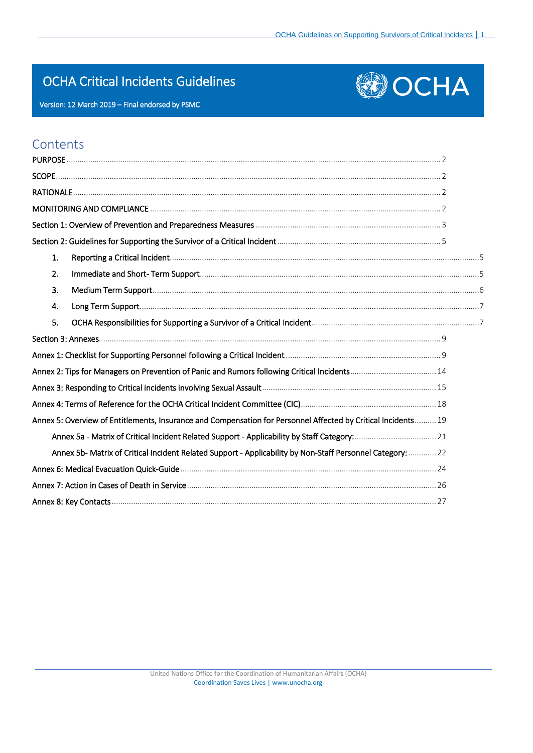# OCHA Critical Incidents Guidelines





# **Contents**

| 1. |                                                                                                               |  |
|----|---------------------------------------------------------------------------------------------------------------|--|
| 2. |                                                                                                               |  |
| 3. |                                                                                                               |  |
| 4. |                                                                                                               |  |
| 5. |                                                                                                               |  |
|    |                                                                                                               |  |
|    |                                                                                                               |  |
|    | Annex 2: Tips for Managers on Prevention of Panic and Rumors following Critical Incidents 14                  |  |
|    |                                                                                                               |  |
|    |                                                                                                               |  |
|    | Annex 5: Overview of Entitlements, Insurance and Compensation for Personnel Affected by Critical Incidents 19 |  |
|    |                                                                                                               |  |
|    | Annex 5b- Matrix of Critical Incident Related Support - Applicability by Non-Staff Personnel Category:  22    |  |
|    |                                                                                                               |  |
|    |                                                                                                               |  |
|    |                                                                                                               |  |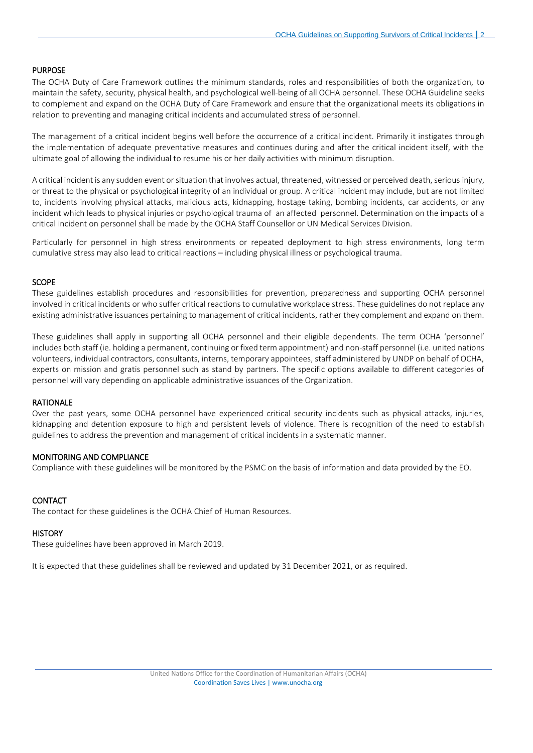# <span id="page-1-0"></span>PURPOSE

The OCHA Duty of Care Framework outlines the minimum standards, roles and responsibilities of both the organization, to maintain the safety, security, physical health, and psychological well-being of all OCHA personnel. These OCHA Guideline seeks to complement and expand on the OCHA Duty of Care Framework and ensure that the organizational meets its obligations in relation to preventing and managing critical incidents and accumulated stress of personnel.

The management of a critical incident begins well before the occurrence of a critical incident. Primarily it instigates through the implementation of adequate preventative measures and continues during and after the critical incident itself, with the ultimate goal of allowing the individual to resume his or her daily activities with minimum disruption.

A critical incident is any sudden event or situation that involves actual, threatened, witnessed or perceived death, serious injury, or threat to the physical or psychological integrity of an individual or group. A critical incident may include, but are not limited to, incidents involving physical attacks, malicious acts, kidnapping, hostage taking, bombing incidents, car accidents, or any incident which leads to physical injuries or psychological trauma of an affected personnel. Determination on the impacts of a critical incident on personnel shall be made by the OCHA Staff Counsellor or UN Medical Services Division.

Particularly for personnel in high stress environments or repeated deployment to high stress environments, long term cumulative stress may also lead to critical reactions – including physical illness or psychological trauma.

#### <span id="page-1-1"></span>SCOPE

These guidelines establish procedures and responsibilities for prevention, preparedness and supporting OCHA personnel involved in critical incidents or who suffer critical reactions to cumulative workplace stress. These guidelines do not replace any existing administrative issuances pertaining to management of critical incidents, rather they complement and expand on them.

These guidelines shall apply in supporting all OCHA personnel and their eligible dependents. The term OCHA 'personnel' includes both staff (ie. holding a permanent, continuing or fixed term appointment) and non-staff personnel (i.e. united nations volunteers, individual contractors, consultants, interns, temporary appointees, staff administered by UNDP on behalf of OCHA, experts on mission and gratis personnel such as stand by partners. The specific options available to different categories of personnel will vary depending on applicable administrative issuances of the Organization.

#### <span id="page-1-2"></span>RATIONALE

Over the past years, some OCHA personnel have experienced critical security incidents such as physical attacks, injuries, kidnapping and detention exposure to high and persistent levels of violence. There is recognition of the need to establish guidelines to address the prevention and management of critical incidents in a systematic manner.

# <span id="page-1-3"></span>MONITORING AND COMPLIANCE

Compliance with these guidelines will be monitored by the PSMC on the basis of information and data provided by the EO.

# CONTACT

The contact for these guidelines is the OCHA Chief of Human Resources.

#### **HISTORY**

These guidelines have been approved in March 2019.

It is expected that these guidelines shall be reviewed and updated by 31 December 2021, or as required.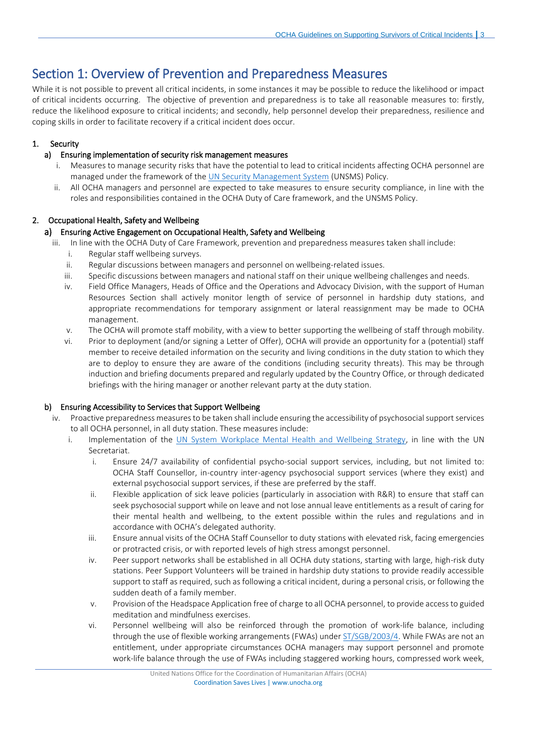# <span id="page-2-0"></span>Section 1: Overview of Prevention and Preparedness Measures

While it is not possible to prevent all critical incidents, in some instances it may be possible to reduce the likelihood or impact of critical incidents occurring. The objective of prevention and preparedness is to take all reasonable measures to: firstly, reduce the likelihood exposure to critical incidents; and secondly, help personnel develop their preparedness, resilience and coping skills in order to facilitate recovery if a critical incident does occur.

# 1. Security

# a) Ensuring implementation of security risk management measures

- i. Measures to manage security risks that have the potential to lead to critical incidents affecting OCHA personnel are managed under the framework of the **UN Security Management System** (UNSMS) Policy.
- ii. All OCHA managers and personnel are expected to take measures to ensure security compliance, in line with the roles and responsibilities contained in the OCHA Duty of Care framework, and the UNSMS Policy.

# 2. Occupational Health, Safety and Wellbeing

# a) Ensuring Active Engagement on Occupational Health, Safety and Wellbeing

- iii. In line with the OCHA Duty of Care Framework, prevention and preparedness measures taken shall include:
	- i. Regular staff wellbeing surveys.
	- ii. Regular discussions between managers and personnel on wellbeing-related issues.
	- iii. Specific discussions between managers and national staff on their unique wellbeing challenges and needs.
	- iv. Field Office Managers, Heads of Office and the Operations and Advocacy Division, with the support of Human Resources Section shall actively monitor length of service of personnel in hardship duty stations, and appropriate recommendations for temporary assignment or lateral reassignment may be made to OCHA management.
	- v. The OCHA will promote staff mobility, with a view to better supporting the wellbeing of staff through mobility.
	- vi. Prior to deployment (and/or signing a Letter of Offer), OCHA will provide an opportunity for a (potential) staff member to receive detailed information on the security and living conditions in the duty station to which they are to deploy to ensure they are aware of the conditions (including security threats). This may be through induction and briefing documents prepared and regularly updated by the Country Office, or through dedicated briefings with the hiring manager or another relevant party at the duty station.

# b) Ensuring Accessibility to Services that Support Wellbeing

- iv. Proactive preparedness measures to be taken shall include ensuring the accessibility of psychosocial support services to all OCHA personnel, in all duty station. These measures include:
	- i. Implementation of the [UN System Workplace Mental Health and Wellbeing Strategy,](https://hr.un.org/sites/hr.un.org/files/Mental%20Health%20Well%20Being%20Strategy_FINAL_2018_ENGLISH_0.pdf) in line with the UN Secretariat.
		- i. Ensure 24/7 availability of confidential psycho-social support services, including, but not limited to: OCHA Staff Counsellor, in-country inter-agency psychosocial support services (where they exist) and external psychosocial support services, if these are preferred by the staff.
		- ii. Flexible application of sick leave policies (particularly in association with R&R) to ensure that staff can seek psychosocial support while on leave and not lose annual leave entitlements as a result of caring for their mental health and wellbeing, to the extent possible within the rules and regulations and in accordance with OCHA's delegated authority.
		- iii. Ensure annual visits of the OCHA Staff Counsellor to duty stations with elevated risk, facing emergencies or protracted crisis, or with reported levels of high stress amongst personnel.
		- iv. Peer support networks shall be established in all OCHA duty stations, starting with large, high-risk duty stations. Peer Support Volunteers will be trained in hardship duty stations to provide readily accessible support to staff as required, such as following a critical incident, during a personal crisis, or following the sudden death of a family member.
		- v. Provision of the Headspace Application free of charge to all OCHA personnel, to provide access to guided meditation and mindfulness exercises.
		- vi. Personnel wellbeing will also be reinforced through the promotion of work-life balance, including through the use of flexible working arrangements (FWAs) unde[r ST/SGB/2003/4.](https://hr.un.org/sites/hr.un.org/files/1/documents_sources-english/08_secretary-general) While FWAs are not an entitlement, under appropriate circumstances OCHA managers may support personnel and promote work-life balance through the use of FWAs including staggered working hours, compressed work week,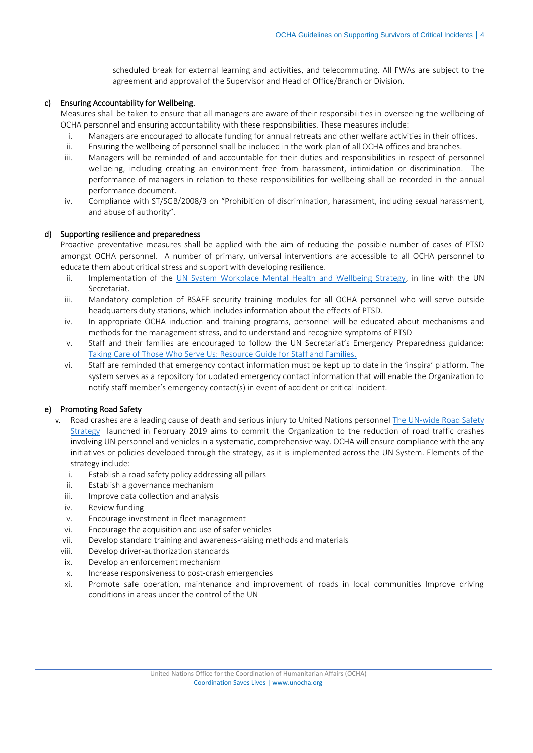scheduled break for external learning and activities, and telecommuting. All FWAs are subject to the agreement and approval of the Supervisor and Head of Office/Branch or Division.

# c) Ensuring Accountability for Wellbeing.

Measures shall be taken to ensure that all managers are aware of their responsibilities in overseeing the wellbeing of OCHA personnel and ensuring accountability with these responsibilities. These measures include:

- i. Managers are encouraged to allocate funding for annual retreats and other welfare activities in their offices.
- ii. Ensuring the wellbeing of personnel shall be included in the work-plan of all OCHA offices and branches.
- iii. Managers will be reminded of and accountable for their duties and responsibilities in respect of personnel wellbeing, including creating an environment free from harassment, intimidation or discrimination. The performance of managers in relation to these responsibilities for wellbeing shall be recorded in the annual performance document.
- iv. Compliance with ST/SGB/2008/3 on "Prohibition of discrimination, harassment, including sexual harassment, and abuse of authority".

# d) Supporting resilience and preparedness

Proactive preventative measures shall be applied with the aim of reducing the possible number of cases of PTSD amongst OCHA personnel. A number of primary, universal interventions are accessible to all OCHA personnel to educate them about critical stress and support with developing resilience.

- ii. Implementation of the [UN System Workplace Mental Health and Wellbeing Strategy,](https://hr.un.org/sites/hr.un.org/files/Mental%20Health%20Well%20Being%20Strategy_FINAL_2018_ENGLISH_0.pdf) in line with the UN Secretariat.
- iii. Mandatory completion of BSAFE security training modules for all OCHA personnel who will serve outside headquarters duty stations, which includes information about the effects of PTSD.
- iv. In appropriate OCHA induction and training programs, personnel will be educated about mechanisms and methods for the management stress, and to understand and recognize symptoms of PTSD
- v. Staff and their families are encouraged to follow the UN Secretariat's Emergency Preparedness guidance: [Taking Care of Those Who Serve Us: Resource Guide for Staff and Families.](https://www.un.org/epst/sites/www.un.org.epst/files/epst_survivors_guide_19dec2014.pdf)
- vi. Staff are reminded that emergency contact information must be kept up to date in the 'inspira' platform. The system serves as a repository for updated emergency contact information that will enable the Organization to notify staff member's emergency contact(s) in event of accident or critical incident.

# e) Promoting Road Safety

- v. Road crashes are a leading cause of death and serious injury to United Nations personne[l The UN-wide Road Safety](https://www.un.org/undss/sites/www.un.org.undss/files/general/road_safety_strategy_-_booklet.pdf)  [Strategy](https://www.un.org/undss/sites/www.un.org.undss/files/general/road_safety_strategy_-_booklet.pdf) launched in February 2019 aims to commit the Organization to the reduction of road traffic crashes involving UN personnel and vehicles in a systematic, comprehensive way. OCHA will ensure compliance with the any initiatives or policies developed through the strategy, as it is implemented across the UN System. Elements of the strategy include:
	- i. Establish a road safety policy addressing all pillars
	- ii. Establish a governance mechanism
	- iii. Improve data collection and analysis
	- iv. Review funding
	- v. Encourage investment in fleet management
	- vi. Encourage the acquisition and use of safer vehicles
	- vii. Develop standard training and awareness-raising methods and materials
	- viii. Develop driver-authorization standards
	- ix. Develop an enforcement mechanism
	- x. Increase responsiveness to post-crash emergencies
	- xi. Promote safe operation, maintenance and improvement of roads in local communities Improve driving conditions in areas under the control of the UN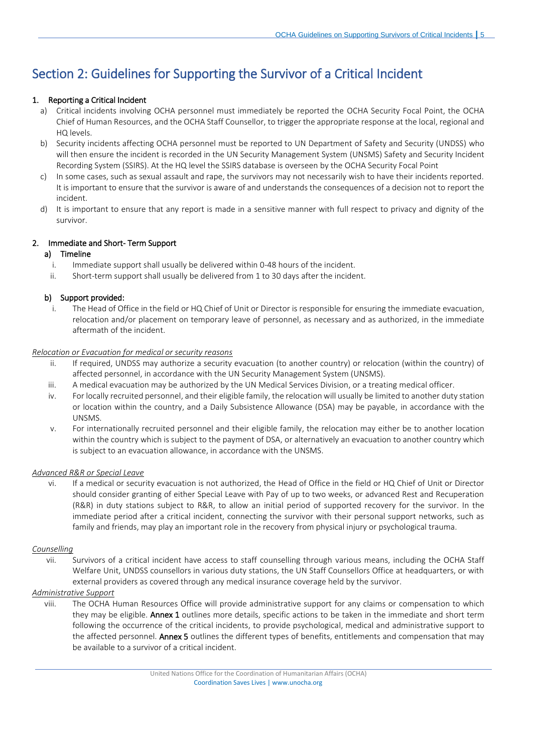# <span id="page-4-0"></span>Section 2: Guidelines for Supporting the Survivor of a Critical Incident

# <span id="page-4-1"></span>1. Reporting a Critical Incident

- a) Critical incidents involving OCHA personnel must immediately be reported the OCHA Security Focal Point, the OCHA Chief of Human Resources, and the OCHA Staff Counsellor, to trigger the appropriate response at the local, regional and HQ levels.
- b) Security incidents affecting OCHA personnel must be reported to UN Department of Safety and Security (UNDSS) who will then ensure the incident is recorded in the UN Security Management System (UNSMS) Safety and Security Incident Recording System (SSIRS). At the HQ level the SSIRS database is overseen by the OCHA Security Focal Point
- c) In some cases, such as sexual assault and rape, the survivors may not necessarily wish to have their incidents reported. It is important to ensure that the survivor is aware of and understands the consequences of a decision not to report the incident.
- d) It is important to ensure that any report is made in a sensitive manner with full respect to privacy and dignity of the survivor.

# <span id="page-4-2"></span>2. Immediate and Short- Term Support

# a) Timeline

- i. Immediate support shall usually be delivered within 0-48 hours of the incident.
- ii. Short-term support shall usually be delivered from 1 to 30 days after the incident.

# b) Support provided:

i. The Head of Office in the field or HQ Chief of Unit or Director is responsible for ensuring the immediate evacuation, relocation and/or placement on temporary leave of personnel, as necessary and as authorized, in the immediate aftermath of the incident.

# *Relocation or Evacuation for medical or security reasons*

- ii. If required, UNDSS may authorize a security evacuation (to another country) or relocation (within the country) of affected personnel, in accordance with the UN Security Management System (UNSMS).
- iii. A medical evacuation may be authorized by the UN Medical Services Division, or a treating medical officer.
- iv. For locally recruited personnel, and their eligible family, the relocation will usually be limited to another duty station or location within the country, and a Daily Subsistence Allowance (DSA) may be payable, in accordance with the UNSMS.
- v. For internationally recruited personnel and their eligible family, the relocation may either be to another location within the country which is subject to the payment of DSA, or alternatively an evacuation to another country which is subject to an evacuation allowance, in accordance with the UNSMS.

# *Advanced R&R or Special Leave*

vi. If a medical or security evacuation is not authorized, the Head of Office in the field or HQ Chief of Unit or Director should consider granting of either Special Leave with Pay of up to two weeks, or advanced Rest and Recuperation (R&R) in duty stations subject to R&R, to allow an initial period of supported recovery for the survivor. In the immediate period after a critical incident, connecting the survivor with their personal support networks, such as family and friends, may play an important role in the recovery from physical injury or psychological trauma.

# *Counselling*

vii. Survivors of a critical incident have access to staff counselling through various means, including the OCHA Staff Welfare Unit, UNDSS counsellors in various duty stations, the UN Staff Counsellors Office at headquarters, or with external providers as covered through any medical insurance coverage held by the survivor.

# *Administrative Support*

viii. The OCHA Human Resources Office will provide administrative support for any claims or compensation to which they may be eligible. Annex 1 outlines more details, specific actions to be taken in the immediate and short term following the occurrence of the critical incidents, to provide psychological, medical and administrative support to the affected personnel. Annex 5 outlines the different types of benefits, entitlements and compensation that may be available to a survivor of a critical incident.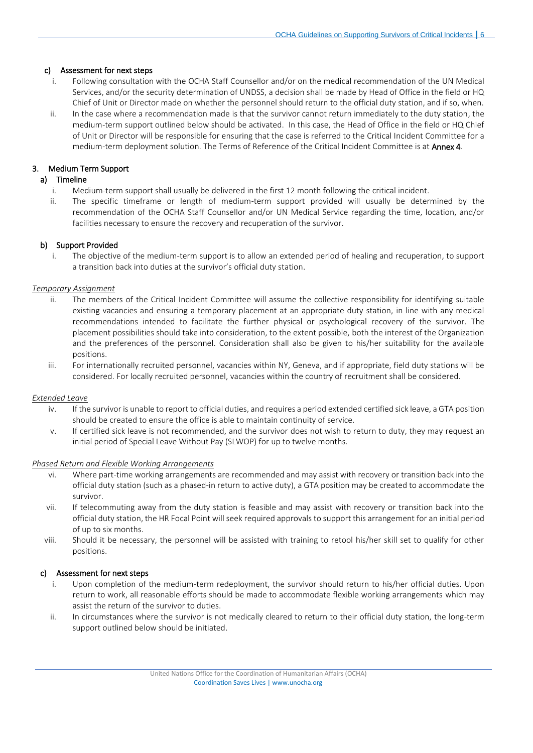# c) Assessment for next steps

- i. Following consultation with the OCHA Staff Counsellor and/or on the medical recommendation of the UN Medical Services, and/or the security determination of UNDSS, a decision shall be made by Head of Office in the field or HQ Chief of Unit or Director made on whether the personnel should return to the official duty station, and if so, when.
- ii. In the case where a recommendation made is that the survivor cannot return immediately to the duty station, the medium-term support outlined below should be activated. In this case, the Head of Office in the field or HQ Chief of Unit or Director will be responsible for ensuring that the case is referred to the Critical Incident Committee for a medium-term deployment solution. The Terms of Reference of the Critical Incident Committee is at Annex 4.

# <span id="page-5-0"></span>3. Medium Term Support

# a) Timeline

- i. Medium-term support shall usually be delivered in the first 12 month following the critical incident.
- ii. The specific timeframe or length of medium-term support provided will usually be determined by the recommendation of the OCHA Staff Counsellor and/or UN Medical Service regarding the time, location, and/or facilities necessary to ensure the recovery and recuperation of the survivor.

# b) Support Provided

i. The objective of the medium-term support is to allow an extended period of healing and recuperation, to support a transition back into duties at the survivor's official duty station.

# *Temporary Assignment*

- ii. The members of the Critical Incident Committee will assume the collective responsibility for identifying suitable existing vacancies and ensuring a temporary placement at an appropriate duty station, in line with any medical recommendations intended to facilitate the further physical or psychological recovery of the survivor. The placement possibilities should take into consideration, to the extent possible, both the interest of the Organization and the preferences of the personnel. Consideration shall also be given to his/her suitability for the available positions.
- iii. For internationally recruited personnel, vacancies within NY, Geneva, and if appropriate, field duty stations will be considered. For locally recruited personnel, vacancies within the country of recruitment shall be considered.

# *Extended Leave*

- iv. If the survivor is unable to report to official duties, and requires a period extended certified sick leave, a GTA position should be created to ensure the office is able to maintain continuity of service.
- v. If certified sick leave is not recommended, and the survivor does not wish to return to duty, they may request an initial period of Special Leave Without Pay (SLWOP) for up to twelve months.

# *Phased Return and Flexible Working Arrangements*

- vi. Where part-time working arrangements are recommended and may assist with recovery or transition back into the official duty station (such as a phased-in return to active duty), a GTA position may be created to accommodate the survivor.
- vii. If telecommuting away from the duty station is feasible and may assist with recovery or transition back into the official duty station, the HR Focal Point will seek required approvals to support this arrangement for an initial period of up to six months.
- viii. Should it be necessary, the personnel will be assisted with training to retool his/her skill set to qualify for other positions.

# c) Assessment for next steps

- i. Upon completion of the medium-term redeployment, the survivor should return to his/her official duties. Upon return to work, all reasonable efforts should be made to accommodate flexible working arrangements which may assist the return of the survivor to duties.
- ii. In circumstances where the survivor is not medically cleared to return to their official duty station, the long-term support outlined below should be initiated.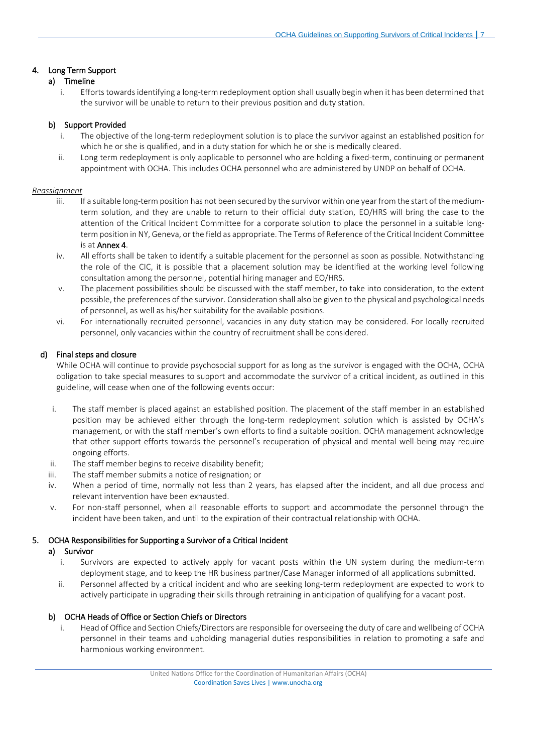# <span id="page-6-0"></span>4. Long Term Support

# a) Timeline

i. Efforts towards identifying a long-term redeployment option shall usually begin when it has been determined that the survivor will be unable to return to their previous position and duty station.

# b) Support Provided

- i. The objective of the long-term redeployment solution is to place the survivor against an established position for which he or she is qualified, and in a duty station for which he or she is medically cleared.
- ii. Long term redeployment is only applicable to personnel who are holding a fixed-term, continuing or permanent appointment with OCHA. This includes OCHA personnel who are administered by UNDP on behalf of OCHA.

# *Reassignment*

- iii. If a suitable long-term position has not been secured by the survivor within one year from the start of the mediumterm solution, and they are unable to return to their official duty station, EO/HRS will bring the case to the attention of the Critical Incident Committee for a corporate solution to place the personnel in a suitable longterm position in NY, Geneva, or the field as appropriate. The Terms of Reference of the Critical Incident Committee is at Annex 4.
- iv. All efforts shall be taken to identify a suitable placement for the personnel as soon as possible. Notwithstanding the role of the CIC, it is possible that a placement solution may be identified at the working level following consultation among the personnel, potential hiring manager and EO/HRS.
- v. The placement possibilities should be discussed with the staff member, to take into consideration, to the extent possible, the preferences of the survivor. Consideration shall also be given to the physical and psychological needs of personnel, as well as his/her suitability for the available positions.
- vi. For internationally recruited personnel, vacancies in any duty station may be considered. For locally recruited personnel, only vacancies within the country of recruitment shall be considered.

# d) Final steps and closure

While OCHA will continue to provide psychosocial support for as long as the survivor is engaged with the OCHA, OCHA obligation to take special measures to support and accommodate the survivor of a critical incident, as outlined in this guideline, will cease when one of the following events occur:

- i. The staff member is placed against an established position. The placement of the staff member in an established position may be achieved either through the long-term redeployment solution which is assisted by OCHA's management, or with the staff member's own efforts to find a suitable position. OCHA management acknowledge that other support efforts towards the personnel's recuperation of physical and mental well-being may require ongoing efforts.
- ii. The staff member begins to receive disability benefit;
- iii. The staff member submits a notice of resignation; or
- iv. When a period of time, normally not less than 2 years, has elapsed after the incident, and all due process and relevant intervention have been exhausted.
- v. For non-staff personnel, when all reasonable efforts to support and accommodate the personnel through the incident have been taken, and until to the expiration of their contractual relationship with OCHA.

# <span id="page-6-1"></span>5. OCHA Responsibilities for Supporting a Survivor of a Critical Incident

# a) Survivor

- i. Survivors are expected to actively apply for vacant posts within the UN system during the medium-term deployment stage, and to keep the HR business partner/Case Manager informed of all applications submitted.
- ii. Personnel affected by a critical incident and who are seeking long-term redeployment are expected to work to actively participate in upgrading their skills through retraining in anticipation of qualifying for a vacant post.

# b) OCHA Heads of Office or Section Chiefs or Directors

i. Head of Office and Section Chiefs/Directors are responsible for overseeing the duty of care and wellbeing of OCHA personnel in their teams and upholding managerial duties responsibilities in relation to promoting a safe and harmonious working environment.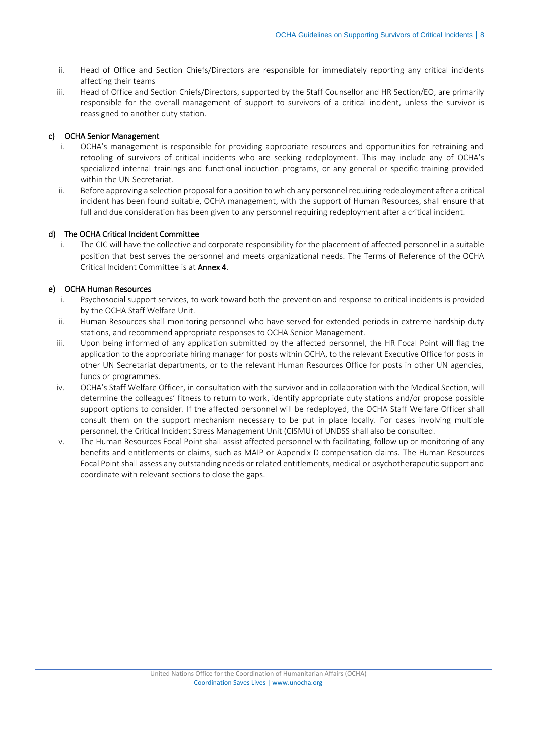- ii. Head of Office and Section Chiefs/Directors are responsible for immediately reporting any critical incidents affecting their teams
- iii. Head of Office and Section Chiefs/Directors, supported by the Staff Counsellor and HR Section/EO, are primarily responsible for the overall management of support to survivors of a critical incident, unless the survivor is reassigned to another duty station.

# c) OCHA Senior Management

- i. OCHA's management is responsible for providing appropriate resources and opportunities for retraining and retooling of survivors of critical incidents who are seeking redeployment. This may include any of OCHA's specialized internal trainings and functional induction programs, or any general or specific training provided within the UN Secretariat.
- ii. Before approving a selection proposal for a position to which any personnel requiring redeployment after a critical incident has been found suitable, OCHA management, with the support of Human Resources, shall ensure that full and due consideration has been given to any personnel requiring redeployment after a critical incident.

# d) The OCHA Critical Incident Committee

i. The CIC will have the collective and corporate responsibility for the placement of affected personnel in a suitable position that best serves the personnel and meets organizational needs. The Terms of Reference of the OCHA Critical Incident Committee is at Annex 4.

# e) OCHA Human Resources

- i. Psychosocial support services, to work toward both the prevention and response to critical incidents is provided by the OCHA Staff Welfare Unit.
- ii. Human Resources shall monitoring personnel who have served for extended periods in extreme hardship duty stations, and recommend appropriate responses to OCHA Senior Management.
- iii. Upon being informed of any application submitted by the affected personnel, the HR Focal Point will flag the application to the appropriate hiring manager for posts within OCHA, to the relevant Executive Office for posts in other UN Secretariat departments, or to the relevant Human Resources Office for posts in other UN agencies, funds or programmes.
- iv. OCHA's Staff Welfare Officer, in consultation with the survivor and in collaboration with the Medical Section, will determine the colleagues' fitness to return to work, identify appropriate duty stations and/or propose possible support options to consider. If the affected personnel will be redeployed, the OCHA Staff Welfare Officer shall consult them on the support mechanism necessary to be put in place locally. For cases involving multiple personnel, the Critical Incident Stress Management Unit (CISMU) of UNDSS shall also be consulted.
- v. The Human Resources Focal Point shall assist affected personnel with facilitating, follow up or monitoring of any benefits and entitlements or claims, such as MAIP or Appendix D compensation claims. The Human Resources Focal Point shall assess any outstanding needs or related entitlements, medical or psychotherapeutic support and coordinate with relevant sections to close the gaps.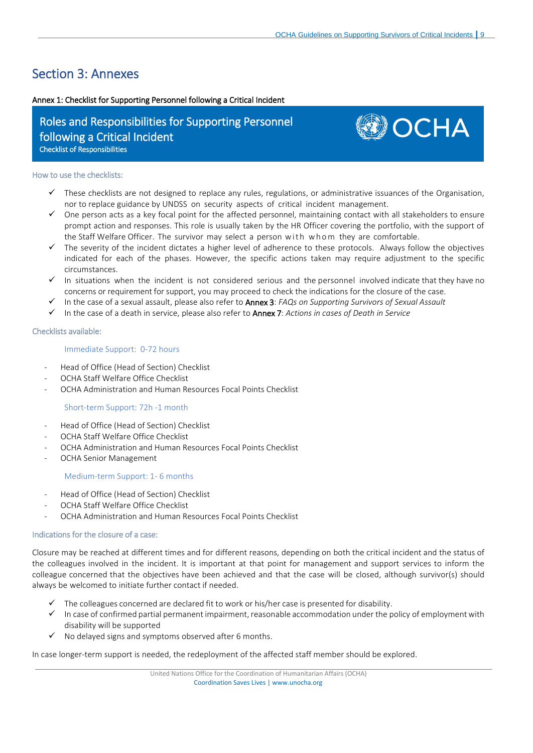# <span id="page-8-0"></span>Section 3: Annexes

# <span id="page-8-1"></span>Annex 1: Checklist for Supporting Personnel following a Critical Incident

# Roles and Responsibilities for Supporting Personnel following a Critical Incident Checklist of Responsibilities



### How to use the checklists:

- These checklists are not designed to replace any rules, regulations, or administrative issuances of the Organisation, nor to replace guidance by UNDSS on security aspects of critical incident management.
- ✓ One person acts as a key focal point for the affected personnel, maintaining contact with all stakeholders to ensure prompt action and responses. This role is usually taken by the HR Officer covering the portfolio, with the support of the Staff Welfare Officer. The survivor may select a person with whom they are comfortable.
- ✓ The severity of the incident dictates a higher level of adherence to these protocols. Always follow the objectives indicated for each of the phases. However, the specific actions taken may require adjustment to the specific circumstances.
- ✓ In situations when the incident is not considered serious and the personnel involved indicate that they have no concerns or requirement for support, you may proceed to check the indications for the closure of the case.
- ✓ In the case of a sexual assault, please also refer to Annex 3: *FAQs on Supporting Survivors of Sexual Assault*
- ✓ In the case of a death in service, please also refer to Annex 7: *Actions in cases of Death in Service*

# Checklists available:

# Immediate Support: 0-72 hours

- Head of Office (Head of Section) Checklist
- OCHA Staff Welfare Office Checklist
- OCHA Administration and Human Resources Focal Points Checklist

# Short-term Support: 72h -1 month

- Head of Office (Head of Section) Checklist
- OCHA Staff Welfare Office Checklist
- OCHA Administration and Human Resources Focal Points Checklist
- OCHA Senior Management

# Medium-term Support: 1- 6 months

- Head of Office (Head of Section) Checklist
- OCHA Staff Welfare Office Checklist
- OCHA Administration and Human Resources Focal Points Checklist

# Indications for the closure of a case:

Closure may be reached at different times and for different reasons, depending on both the critical incident and the status of the colleagues involved in the incident. It is important at that point for management and support services to inform the colleague concerned that the objectives have been achieved and that the case will be closed, although survivor(s) should always be welcomed to initiate further contact if needed.

- The colleagues concerned are declared fit to work or his/her case is presented for disability.
- $\checkmark$  In case of confirmed partial permanent impairment, reasonable accommodation under the policy of employment with disability will be supported
- No delayed signs and symptoms observed after 6 months.

In case longer-term support is needed, the redeployment of the affected staff member should be explored.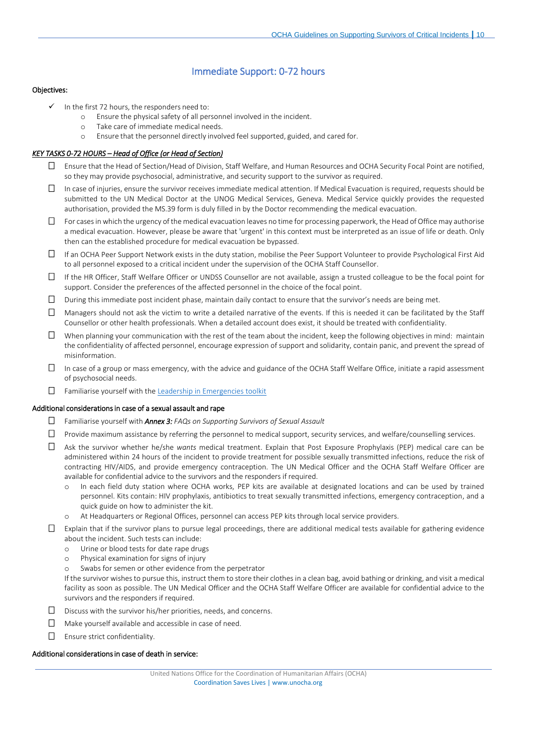# Immediate Support: 0-72 hours

#### Objectives:

- $\checkmark$  In the first 72 hours, the responders need to:
	- o Ensure the physical safety of all personnel involved in the incident.
	- o Take care of immediate medical needs.
	- o Ensure that the personnel directly involved feel supported, guided, and cared for.

#### *KEY TASKS 0-72 HOURS – Head of Office (or Head of Section)*

- Ensure that the Head of Section/Head of Division, Staff Welfare, and Human Resources and OCHA Security Focal Point are notified, so they may provide psychosocial, administrative, and security support to the survivor as required.
- $\Box$  In case of injuries, ensure the survivor receives immediate medical attention. If Medical Evacuation is required, requests should be submitted to the UN Medical Doctor at the UNOG Medical Services, Geneva. Medical Service quickly provides the requested authorisation, provided the MS.39 form is duly filled in by the Doctor recommending the medical evacuation.
- For cases in which the urgency of the medical evacuation leaves no time for processing paperwork, the Head of Office may authorise a medical evacuation. However, please be aware that 'urgent' in this context must be interpreted as an issue of life or death. Only then can the established procedure for medical evacuation be bypassed.
- If an OCHA Peer Support Network exists in the duty station, mobilise the Peer Support Volunteer to provide Psychological First Aid to all personnel exposed to a critical incident under the supervision of the OCHA Staff Counsellor.
- If the HR Officer, Staff Welfare Officer or UNDSS Counsellor are not available, assign a trusted colleague to be the focal point for support. Consider the preferences of the affected personnel in the choice of the focal point.
- $\Box$  During this immediate post incident phase, maintain daily contact to ensure that the survivor's needs are being met.
- $\Box$  Managers should not ask the victim to write a detailed narrative of the events. If this is needed it can be facilitated by the Staff Counsellor or other health professionals. When a detailed account does exist, it should be treated with confidentiality.
- $\Box$  When planning your communication with the rest of the team about the incident, keep the following objectives in mind: maintain the confidentiality of affected personnel, encourage expression of support and solidarity, contain panic, and prevent the spread of misinformation.
- $\Box$  In case of a group or mass emergency, with the advice and guidance of the OCHA Staff Welfare Office, initiate a rapid assessment of psychosocial needs.
- Familiarise yourself with the [Leadership in Emergencies toolkit](https://www.un.org/epst/sites/www.un.org.epst/files/leadership_in_the_emergencies_toolkit.pdf)

#### Additional considerations in case of a sexual assault and rape

- Familiarise yourself with *Annex 3: FAQs on Supporting Survivors of Sexual Assault*
- $\Box$  Provide maximum assistance by referring the personnel to medical support, security services, and welfare/counselling services.
- Ask the survivor whether he/she *wants* medical treatment. Explain that Post Exposure Prophylaxis (PEP) medical care can be administered within 24 hours of the incident to provide treatment for possible sexually transmitted infections, reduce the risk of contracting HIV/AIDS, and provide emergency contraception. The UN Medical Officer and the OCHA Staff Welfare Officer are available for confidential advice to the survivors and the responders if required.
	- In each field duty station where OCHA works, PEP kits are available at designated locations and can be used by trained personnel. Kits contain: HIV prophylaxis, antibiotics to treat sexually transmitted infections, emergency contraception, and a quick guide on how to administer the kit.
	- o At Headquarters or Regional Offices, personnel can access PEP kits through local service providers.
- $\Box$  Explain that if the survivor plans to pursue legal proceedings, there are additional medical tests available for gathering evidence about the incident. Such tests can include:
	- o Urine or blood tests for date rape drugs
	- o Physical examination for signs of injury
	- o Swabs for semen or other evidence from the perpetrator

If the survivor wishes to pursue this, instruct them to store their clothes in a clean bag, avoid bathing or drinking, and visit a medical facility as soon as possible. The UN Medical Officer and the OCHA Staff Welfare Officer are available for confidential advice to the survivors and the responders if required.

- $\square$  Discuss with the survivor his/her priorities, needs, and concerns.
- $\Box$  Make yourself available and accessible in case of need.
- Ensure strict confidentiality.

#### Additional considerations in case of death in service: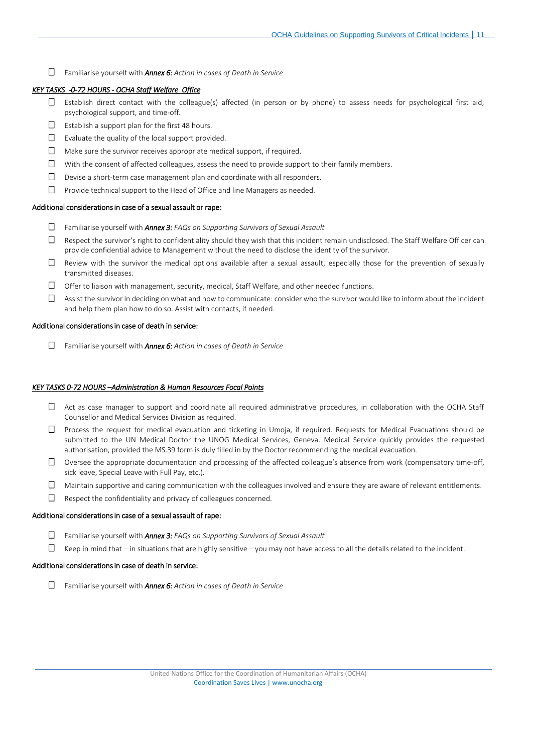Familiarise yourself with *Annex 6: Action in cases of Death in Service*

#### *KEY TASKS -0-72 HOURS - OCHA Staff Welfare Office*

- $\square$  Establish direct contact with the colleague(s) affected (in person or by phone) to assess needs for psychological first aid, psychological support, and time-off.
- $\square$  Establish a support plan for the first 48 hours.
- $\Box$  Evaluate the quality of the local support provided.
- $\Box$  Make sure the survivor receives appropriate medical support, if required.
- $\Box$  With the consent of affected colleagues, assess the need to provide support to their family members.
- $\Box$  Devise a short-term case management plan and coordinate with all responders.
- $\Box$  Provide technical support to the Head of Office and line Managers as needed.

#### Additional considerations in case of a sexual assault or rape:

- Familiarise yourself with *Annex 3: FAQs on Supporting Survivors of Sexual Assault*
- $\Box$  Respect the survivor's right to confidentiality should they wish that this incident remain undisclosed. The Staff Welfare Officer can provide confidential advice to Management without the need to disclose the identity of the survivor.
- $\Box$  Review with the survivor the medical options available after a sexual assault, especially those for the prevention of sexually transmitted diseases.
- $\Box$  Offer to liaison with management, security, medical, Staff Welfare, and other needed functions.
- $\Box$  Assist the survivor in deciding on what and how to communicate: consider who the survivor would like to inform about the incident and help them plan how to do so. Assist with contacts, if needed.

#### Additional considerations in case of death in service:

Familiarise yourself with *Annex 6: Action in cases of Death in Service*

#### *KEY TASKS 0-72 HOURS –Administration & Human Resources Focal Points*

- $\Box$  Act as case manager to support and coordinate all required administrative procedures, in collaboration with the OCHA Staff Counsellor and Medical Services Division as required.
- $\Box$  Process the request for medical evacuation and ticketing in Umoja, if required. Requests for Medical Evacuations should be submitted to the UN Medical Doctor the UNOG Medical Services, Geneva. Medical Service quickly provides the requested authorisation, provided the MS.39 form is duly filled in by the Doctor recommending the medical evacuation.
- $\Box$  Oversee the appropriate documentation and processing of the affected colleague's absence from work (compensatory time-off, sick leave, Special Leave with Full Pay, etc.).
- $\Box$  Maintain supportive and caring communication with the colleagues involved and ensure they are aware of relevant entitlements.
- $\Box$  Respect the confidentiality and privacy of colleagues concerned.

#### Additional considerations in case of a sexual assault of rape:

- Familiarise yourself with *Annex 3: FAQs on Supporting Survivors of Sexual Assault*
- $\Box$  Keep in mind that in situations that are highly sensitive you may not have access to all the details related to the incident.

#### Additional considerations in case of death in service:

Familiarise yourself with *Annex 6: Action in cases of Death in Service*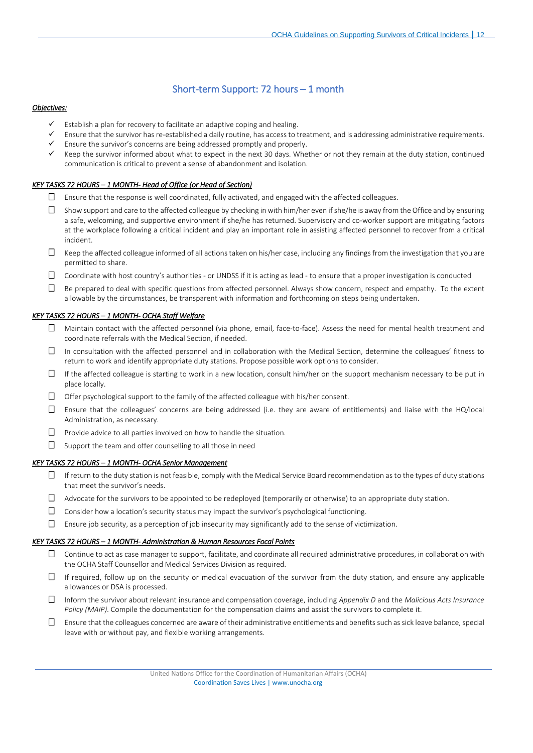# Short-term Support: 72 hours – 1 month

#### *Objectives:*

- Establish a plan for recovery to facilitate an adaptive coping and healing.
- Ensure that the survivor has re-established a daily routine, has access to treatment, and is addressing administrative requirements.
- Ensure the survivor's concerns are being addressed promptly and properly.
- Keep the survivor informed about what to expect in the next 30 days. Whether or not they remain at the duty station, continued communication is critical to prevent a sense of abandonment and isolation.

#### *KEY TASKS 72 HOURS – 1 MONTH- Head of Office (or Head of Section)*

- $\Box$  Ensure that the response is well coordinated, fully activated, and engaged with the affected colleagues.
- $\Box$  Show support and care to the affected colleague by checking in with him/her even if she/he is away from the Office and by ensuring a safe, welcoming, and supportive environment if she/he has returned. Supervisory and co-worker support are mitigating factors at the workplace following a critical incident and play an important role in assisting affected personnel to recover from a critical incident.
- $\Box$  Keep the affected colleague informed of all actions taken on his/her case, including any findings from the investigation that you are permitted to share.
- $\Box$  Coordinate with host country's authorities or UNDSS if it is acting as lead to ensure that a proper investigation is conducted
- $\Box$  Be prepared to deal with specific questions from affected personnel. Always show concern, respect and empathy. To the extent allowable by the circumstances, be transparent with information and forthcoming on steps being undertaken.

#### *KEY TASKS 72 HOURS – 1 MONTH- OCHA Staff Welfare*

- $\Box$  Maintain contact with the affected personnel (via phone, email, face-to-face). Assess the need for mental health treatment and coordinate referrals with the Medical Section, if needed.
- $\Box$  In consultation with the affected personnel and in collaboration with the Medical Section, determine the colleagues' fitness to return to work and identify appropriate duty stations. Propose possible work options to consider.
- $\Box$  If the affected colleague is starting to work in a new location, consult him/her on the support mechanism necessary to be put in place locally.
- $\Box$  Offer psychological support to the family of the affected colleague with his/her consent.
- Ensure that the colleagues' concerns are being addressed (i.e. they are aware of entitlements) and liaise with the HQ/local Administration, as necessary.
- $\Box$  Provide advice to all parties involved on how to handle the situation.
- $\Box$  Support the team and offer counselling to all those in need

#### *KEY TASKS 72 HOURS – 1 MONTH- OCHA Senior Management*

- $\Box$  If return to the duty station is not feasible, comply with the Medical Service Board recommendation as to the types of duty stations that meet the survivor's needs.
- $\Box$  Advocate for the survivors to be appointed to be redeployed (temporarily or otherwise) to an appropriate duty station.
- $\Box$  Consider how a location's security status may impact the survivor's psychological functioning.
- $\Box$  Ensure job security, as a perception of job insecurity may significantly add to the sense of victimization.

#### *KEY TASKS 72 HOURS – 1 MONTH- Administration & Human Resources Focal Points*

- $\Box$  Continue to act as case manager to support, facilitate, and coordinate all required administrative procedures, in collaboration with the OCHA Staff Counsellor and Medical Services Division as required.
- $\Box$  If required, follow up on the security or medical evacuation of the survivor from the duty station, and ensure any applicable allowances or DSA is processed.
- Inform the survivor about relevant insurance and compensation coverage, including *Appendix D* and the *Malicious Acts Insurance Policy (MAIP)*. Compile the documentation for the compensation claims and assist the survivors to complete it.
- $\square$  Ensure that the colleagues concerned are aware of their administrative entitlements and benefits such as sick leave balance, special leave with or without pay, and flexible working arrangements.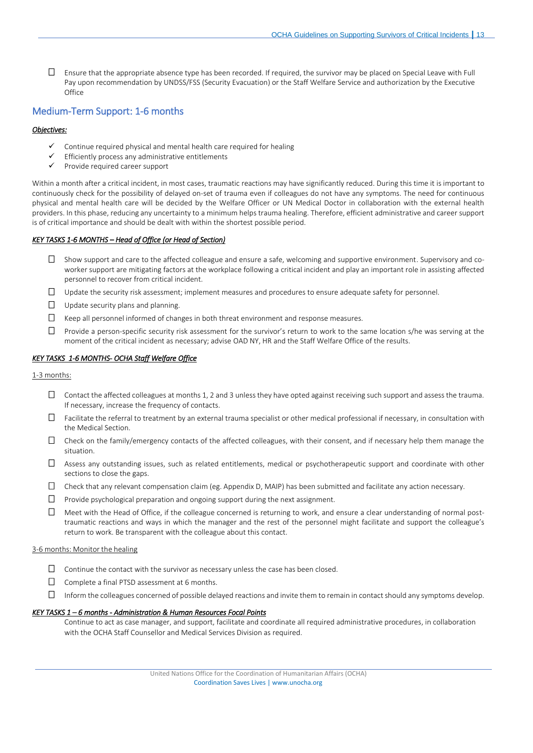$\square$  Ensure that the appropriate absence type has been recorded. If required, the survivor may be placed on Special Leave with Full Pay upon recommendation by UNDSS/FSS (Security Evacuation) or the Staff Welfare Service and authorization by the Executive **Office** 

# Medium-Term Support: 1-6 months

#### *Objectives:*

- Continue required physical and mental health care required for healing
- Efficiently process any administrative entitlements
- Provide required career support

Within a month after a critical incident, in most cases, traumatic reactions may have significantly reduced. During this time it is important to continuously check for the possibility of delayed on-set of trauma even if colleagues do not have any symptoms. The need for continuous physical and mental health care will be decided by the Welfare Officer or UN Medical Doctor in collaboration with the external health providers. In this phase, reducing any uncertainty to a minimum helps trauma healing. Therefore, efficient administrative and career support is of critical importance and should be dealt with within the shortest possible period.

#### *KEY TASKS 1-6 MONTHS – Head of Office (or Head of Section)*

- $\Box$  Show support and care to the affected colleague and ensure a safe, welcoming and supportive environment. Supervisory and coworker support are mitigating factors at the workplace following a critical incident and play an important role in assisting affected personnel to recover from critical incident.
- $\Box$  Update the security risk assessment; implement measures and procedures to ensure adequate safety for personnel.
- $\Box$  Update security plans and planning.
- $\Box$  Keep all personnel informed of changes in both threat environment and response measures.
- $\Box$  Provide a person-specific security risk assessment for the survivor's return to work to the same location s/he was serving at the moment of the critical incident as necessary; advise OAD NY, HR and the Staff Welfare Office of the results.

#### *KEY TASKS 1-6 MONTHS- OCHA Staff Welfare Office*

#### 1-3 months:

- Contact the affected colleagues at months 1, 2 and 3 unless they have opted against receiving such support and assess the trauma. If necessary, increase the frequency of contacts.
- $\Box$  Facilitate the referral to treatment by an external trauma specialist or other medical professional if necessary, in consultation with the Medical Section.
- $\Box$  Check on the family/emergency contacts of the affected colleagues, with their consent, and if necessary help them manage the situation.
- $\Box$  Assess any outstanding issues, such as related entitlements, medical or psychotherapeutic support and coordinate with other sections to close the gaps.
- $\Box$  Check that any relevant compensation claim (eg. Appendix D, MAIP) has been submitted and facilitate any action necessary.
- $\square$  Provide psychological preparation and ongoing support during the next assignment.
- $\Box$  Meet with the Head of Office, if the colleague concerned is returning to work, and ensure a clear understanding of normal posttraumatic reactions and ways in which the manager and the rest of the personnel might facilitate and support the colleague's return to work. Be transparent with the colleague about this contact.

#### 3-6 months: Monitor the healing

- $\Box$  Continue the contact with the survivor as necessary unless the case has been closed.
- $\Box$  Complete a final PTSD assessment at 6 months.
- $\Box$  Inform the colleagues concerned of possible delayed reactions and invite them to remain in contact should any symptoms develop.

#### *KEY TASKS 1 – 6 months - Administration & Human Resources Focal Points*

Continue to act as case manager, and support, facilitate and coordinate all required administrative procedures, in collaboration with the OCHA Staff Counsellor and Medical Services Division as required.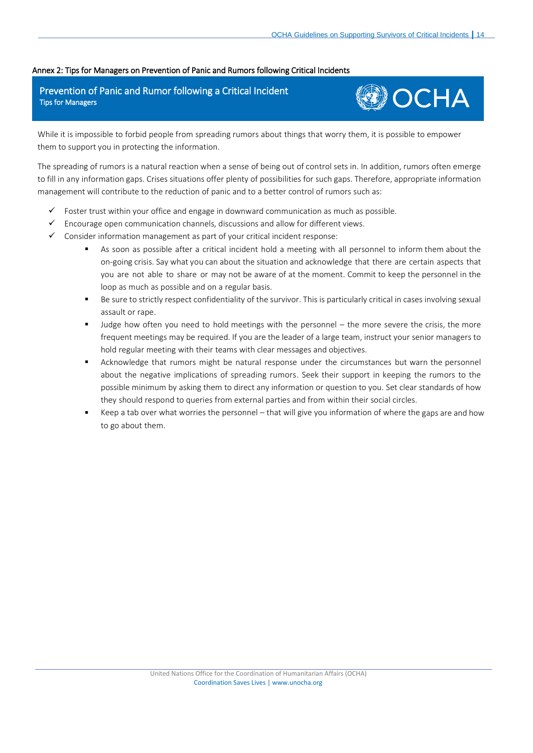# <span id="page-13-0"></span>Annex 2: Tips for Managers on Prevention of Panic and Rumors following Critical Incidents

# Prevention of Panic and Rumor following a Critical Incident Tips for Managers



While it is impossible to forbid people from spreading rumors about things that worry them, it is possible to empower them to support you in protecting the information.

The spreading of rumors is a natural reaction when a sense of being out of control sets in. In addition, rumors often emerge to fill in any information gaps. Crises situations offer plenty of possibilities for such gaps. Therefore, appropriate information management will contribute to the reduction of panic and to a better control of rumors such as:

- $\checkmark$  Foster trust within your office and engage in downward communication as much as possible.
- $\checkmark$  Encourage open communication channels, discussions and allow for different views.
- ✓ Consider information management as part of your critical incident response:
	- As soon as possible after a critical incident hold a meeting with all personnel to inform them about the on-going crisis. Say what you can about the situation and acknowledge that there are certain aspects that you are not able to share or may not be aware of at the moment. Commit to keep the personnel in the loop as much as possible and on a regular basis.
	- Be sure to strictly respect confidentiality of the survivor. This is particularly critical in cases involving sexual assault or rape.
	- Judge how often you need to hold meetings with the personnel the more severe the crisis, the more frequent meetings may be required. If you are the leader of a large team, instruct your senior managers to hold regular meeting with their teams with clear messages and objectives.
	- Acknowledge that rumors might be natural response under the circumstances but warn the personnel about the negative implications of spreading rumors. Seek their support in keeping the rumors to the possible minimum by asking them to direct any information or question to you. Set clear standards of how they should respond to queries from external parties and from within their social circles.
	- Keep a tab over what worries the personnel that will give you information of where the gaps are and how to go about them.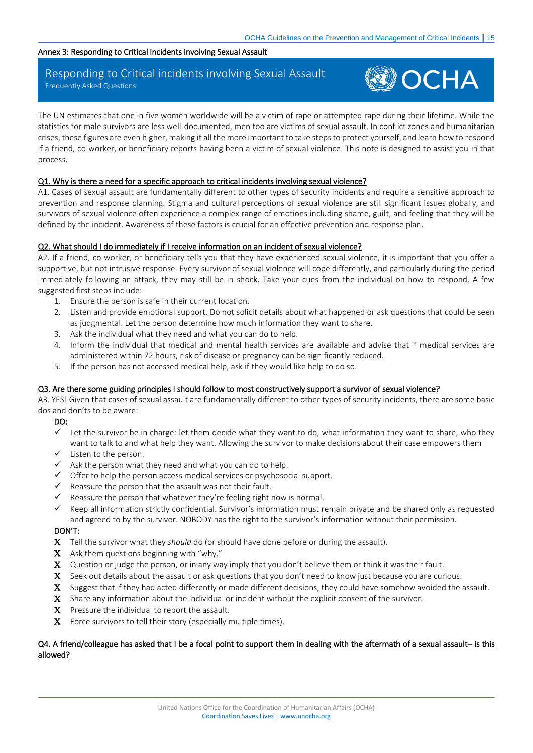#### <span id="page-14-0"></span>Annex 3: Responding to Critical incidents involving Sexual Assault

# Responding to Critical incidents involving Sexual Assault Frequently Asked Questions

# **OCHA**

The UN estimates that one in five women worldwide will be a victim of rape or attempted rape during their lifetime. While the statistics for male survivors are less well-documented, men too are victims of sexual assault. In conflict zones and humanitarian crises, these figures are even higher, making it all the more important to take steps to protect yourself, and learn how to respond if a friend, co-worker, or beneficiary reports having been a victim of sexual violence. This note is designed to assist you in that process.

# Q1. Why is there a need for a specific approach to critical incidents involving sexual violence?

A1. Cases of sexual assault are fundamentally different to other types of security incidents and require a sensitive approach to prevention and response planning. Stigma and cultural perceptions of sexual violence are still significant issues globally, and survivors of sexual violence often experience a complex range of emotions including shame, guilt, and feeling that they will be defined by the incident. Awareness of these factors is crucial for an effective prevention and response plan.

# Q2. What should I do immediately if I receive information on an incident of sexual violence?

A2. If a friend, co-worker, or beneficiary tells you that they have experienced sexual violence, it is important that you offer a supportive, but not intrusive response. Every survivor of sexual violence will cope differently, and particularly during the period immediately following an attack, they may still be in shock. Take your cues from the individual on how to respond. A few suggested first steps include:

- 1. Ensure the person is safe in their current location.
- 2. Listen and provide emotional support. Do not solicit details about what happened or ask questions that could be seen as judgmental. Let the person determine how much information they want to share.
- 3. Ask the individual what they need and what you can do to help.
- 4. Inform the individual that medical and mental health services are available and advise that if medical services are administered within 72 hours, risk of disease or pregnancy can be significantly reduced.
- 5. If the person has not accessed medical help, ask if they would like help to do so.

# Q3. Are there some guiding principles I should follow to most constructively support a survivor of sexual violence?

A3. YES! Given that cases of sexual assault are fundamentally different to other types of security incidents, there are some basic dos and don'ts to be aware:

# DO:

- ✓ Let the survivor be in charge: let them decide what they want to do, what information they want to share, who they want to talk to and what help they want. Allowing the survivor to make decisions about their case empowers them
- $\checkmark$  Listen to the person.
- $\checkmark$  Ask the person what they need and what you can do to help.
- $\checkmark$  Offer to help the person access medical services or psychosocial support.<br> $\checkmark$  Reassure the person that the assault was not their fault
- Reassure the person that the assault was not their fault.
- Reassure the person that whatever they're feeling right now is normal.
- $\checkmark$  Keep all information strictly confidential. Survivor's information must remain private and be shared only as requested and agreed to by the survivor. NOBODY has the right to the survivor's information without their permission.

# DON'T:

- Tell the survivor what they *should* do (or should have done before or during the assault).
- $X$  Ask them questions beginning with "why."
- X Question or judge the person, or in any way imply that you don't believe them or think it was their fault.
- $X$  Seek out details about the assault or ask questions that you don't need to know just because you are curious.
- X Suggest that if they had acted differently or made different decisions, they could have somehow avoided the assault.
- X Share any information about the individual or incident without the explicit consent of the survivor.
- $X$  Pressure the individual to report the assault.
- $X$  Force survivors to tell their story (especially multiple times).

# Q4. A friend/colleague has asked that I be a focal point to support them in dealing with the aftermath of a sexual assault– is this allowed?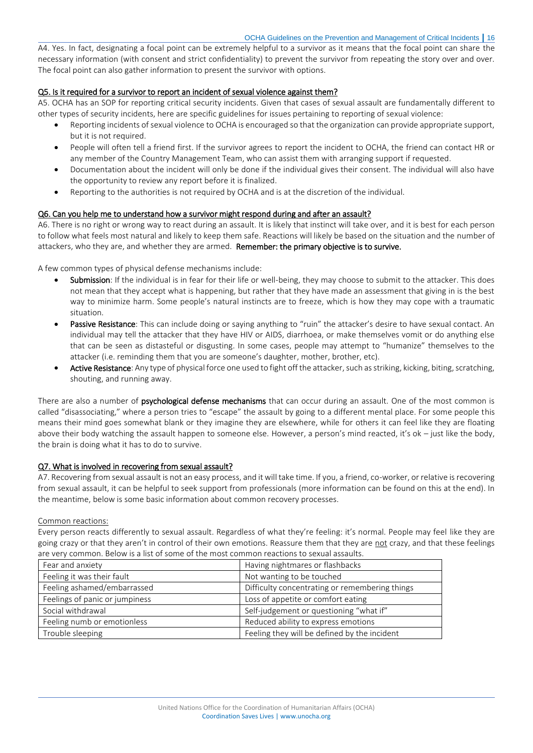A4. Yes. In fact, designating a focal point can be extremely helpful to a survivor as it means that the focal point can share the necessary information (with consent and strict confidentiality) to prevent the survivor from repeating the story over and over. The focal point can also gather information to present the survivor with options.

# Q5. Is it required for a survivor to report an incident of sexual violence against them?

A5. OCHA has an SOP for reporting critical security incidents. Given that cases of sexual assault are fundamentally different to other types of security incidents, here are specific guidelines for issues pertaining to reporting of sexual violence:

- Reporting incidents of sexual violence to OCHA is encouraged so that the organization can provide appropriate support, but it is not required.
- People will often tell a friend first. If the survivor agrees to report the incident to OCHA, the friend can contact HR or any member of the Country Management Team, who can assist them with arranging support if requested.
- Documentation about the incident will only be done if the individual gives their consent. The individual will also have the opportunity to review any report before it is finalized.
- Reporting to the authorities is not required by OCHA and is at the discretion of the individual.

# Q6. Can you help me to understand how a survivor might respond during and after an assault?

A6. There is no right or wrong way to react during an assault. It is likely that instinct will take over, and it is best for each person to follow what feels most natural and likely to keep them safe. Reactions will likely be based on the situation and the number of attackers, who they are, and whether they are armed. Remember: the primary objective is to survive.

A few common types of physical defense mechanisms include:

- Submission: If the individual is in fear for their life or well-being, they may choose to submit to the attacker. This does not mean that they accept what is happening, but rather that they have made an assessment that giving in is the best way to minimize harm. Some people's natural instincts are to freeze, which is how they may cope with a traumatic situation.
- Passive Resistance: This can include doing or saying anything to "ruin" the attacker's desire to have sexual contact. An individual may tell the attacker that they have HIV or AIDS, diarrhoea, or make themselves vomit or do anything else that can be seen as distasteful or disgusting. In some cases, people may attempt to "humanize" themselves to the attacker (i.e. reminding them that you are someone's daughter, mother, brother, etc).
- Active Resistance: Any type of physical force one used to fight off the attacker, such as striking, kicking, biting, scratching, shouting, and running away.

There are also a number of psychological defense mechanisms that can occur during an assault. One of the most common is called "disassociating," where a person tries to "escape" the assault by going to a different mental place. For some people this means their mind goes somewhat blank or they imagine they are elsewhere, while for others it can feel like they are floating above their body watching the assault happen to someone else. However, a person's mind reacted, it's ok – just like the body, the brain is doing what it has to do to survive.

# Q7. What is involved in recovering from sexual assault?

A7. Recovering from sexual assault is not an easy process, and it will take time. If you, a friend, co-worker, or relative is recovering from sexual assault, it can be helpful to seek support from professionals (more information can be found on this at the end). In the meantime, below is some basic information about common recovery processes.

# Common reactions:

Every person reacts differently to sexual assault. Regardless of what they're feeling: it's normal. People may feel like they are going crazy or that they aren't in control of their own emotions. Reassure them that they are not crazy, and that these feelings are very common. Below is a list of some of the most common reactions to sexual assaults.

| Fear and anxiety               | Having nightmares or flashbacks                |  |
|--------------------------------|------------------------------------------------|--|
| Feeling it was their fault     | Not wanting to be touched                      |  |
| Feeling ashamed/embarrassed    | Difficulty concentrating or remembering things |  |
| Feelings of panic or jumpiness | Loss of appetite or comfort eating             |  |
| Social withdrawal              | Self-judgement or questioning "what if"        |  |
| Feeling numb or emotionless    | Reduced ability to express emotions            |  |
| Trouble sleeping               | Feeling they will be defined by the incident   |  |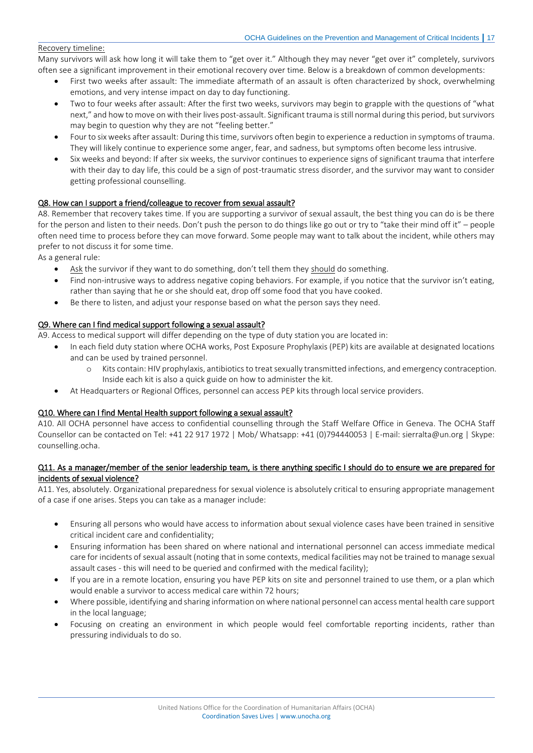# Recovery timeline:

Many survivors will ask how long it will take them to "get over it." Although they may never "get over it" completely, survivors often see a significant improvement in their emotional recovery over time. Below is a breakdown of common developments:

- First two weeks after assault: The immediate aftermath of an assault is often characterized by shock, overwhelming emotions, and very intense impact on day to day functioning.
- Two to four weeks after assault: After the first two weeks, survivors may begin to grapple with the questions of "what next," and how to move on with their lives post-assault. Significant trauma is still normal during this period, but survivors may begin to question why they are not "feeling better."
- Four to six weeks after assault: During this time, survivors often begin to experience a reduction in symptoms of trauma. They will likely continue to experience some anger, fear, and sadness, but symptoms often become less intrusive.
- Six weeks and beyond: If after six weeks, the survivor continues to experience signs of significant trauma that interfere with their day to day life, this could be a sign of post-traumatic stress disorder, and the survivor may want to consider getting professional counselling.

# Q8. How can I support a friend/colleague to recover from sexual assault?

A8. Remember that recovery takes time. If you are supporting a survivor of sexual assault, the best thing you can do is be there for the person and listen to their needs. Don't push the person to do things like go out or try to "take their mind off it" – people often need time to process before they can move forward. Some people may want to talk about the incident, while others may prefer to not discuss it for some time.

As a general rule:

- Ask the survivor if they want to do something, don't tell them they should do something.
- Find non-intrusive ways to address negative coping behaviors. For example, if you notice that the survivor isn't eating, rather than saying that he or she should eat, drop off some food that you have cooked.
- Be there to listen, and adjust your response based on what the person says they need.

# Q9. Where can I find medical support following a sexual assault?

A9. Access to medical support will differ depending on the type of duty station you are located in:

- In each field duty station where OCHA works, Post Exposure Prophylaxis (PEP) kits are available at designated locations and can be used by trained personnel.
	- o Kits contain: HIV prophylaxis, antibiotics to treat sexually transmitted infections, and emergency contraception. Inside each kit is also a quick guide on how to administer the kit.
- At Headquarters or Regional Offices, personnel can access PEP kits through local service providers.

# Q10. Where can I find Mental Health support following a sexual assault?

A10. All OCHA personnel have access to confidential counselling through the Staff Welfare Office in Geneva. The OCHA Staff Counsellor can be contacted on Tel: +41 22 917 1972 | Mob/ Whatsapp: +41 (0)794440053 | E-mail[: sierralta@un.org](mailto:sierralta@un.org) | Skype: counselling.ocha.

# Q11. As a manager/member of the senior leadership team, is there anything specific I should do to ensure we are prepared for incidents of sexual violence?

A11. Yes, absolutely. Organizational preparedness for sexual violence is absolutely critical to ensuring appropriate management of a case if one arises. Steps you can take as a manager include:

- Ensuring all persons who would have access to information about sexual violence cases have been trained in sensitive critical incident care and confidentiality;
- Ensuring information has been shared on where national and international personnel can access immediate medical care for incidents of sexual assault (noting that in some contexts, medical facilities may not be trained to manage sexual assault cases - this will need to be queried and confirmed with the medical facility);
- If you are in a remote location, ensuring you have PEP kits on site and personnel trained to use them, or a plan which would enable a survivor to access medical care within 72 hours;
- Where possible, identifying and sharing information on where national personnel can access mental health care support in the local language;
- Focusing on creating an environment in which people would feel comfortable reporting incidents, rather than pressuring individuals to do so.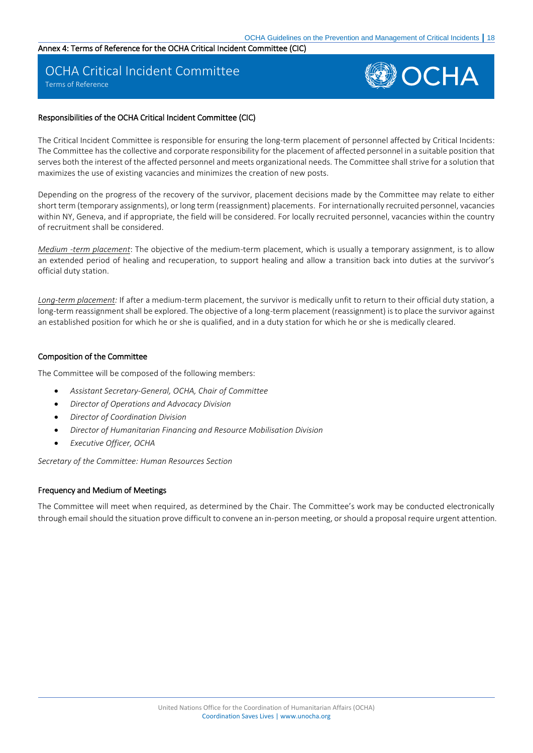# <span id="page-17-0"></span>Annex 4: Terms of Reference for the OCHA Critical Incident Committee (CIC)

# OCHA Critical Incident Committee

Terms of Reference



# Responsibilities of the OCHA Critical Incident Committee (CIC)

The Critical Incident Committee is responsible for ensuring the long-term placement of personnel affected by Critical Incidents: The Committee has the collective and corporate responsibility for the placement of affected personnel in a suitable position that serves both the interest of the affected personnel and meets organizational needs. The Committee shall strive for a solution that maximizes the use of existing vacancies and minimizes the creation of new posts.

Depending on the progress of the recovery of the survivor, placement decisions made by the Committee may relate to either short term (temporary assignments), or long term (reassignment) placements. For internationally recruited personnel, vacancies within NY, Geneva, and if appropriate, the field will be considered. For locally recruited personnel, vacancies within the country of recruitment shall be considered.

*Medium -term placement*: The objective of the medium-term placement, which is usually a temporary assignment, is to allow an extended period of healing and recuperation, to support healing and allow a transition back into duties at the survivor's official duty station.

*Long-term placement:* If after a medium-term placement, the survivor is medically unfit to return to their official duty station, a long-term reassignment shall be explored. The objective of a long-term placement (reassignment) is to place the survivor against an established position for which he or she is qualified, and in a duty station for which he or she is medically cleared.

# Composition of the Committee

The Committee will be composed of the following members:

- *Assistant Secretary-General, OCHA, Chair of Committee*
- *Director of Operations and Advocacy Division*
- *Director of Coordination Division*
- *Director of Humanitarian Financing and Resource Mobilisation Division*
- *Executive Officer, OCHA*

*Secretary of the Committee: Human Resources Section* 

# Frequency and Medium of Meetings

The Committee will meet when required, as determined by the Chair. The Committee's work may be conducted electronically through email should the situation prove difficult to convene an in-person meeting, or should a proposal require urgent attention.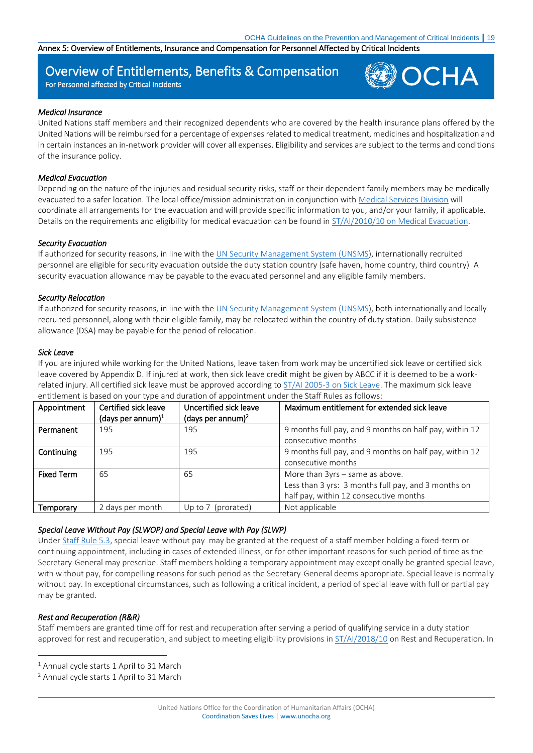<span id="page-18-0"></span>Annex 5: Overview of Entitlements, Insurance and Compensation for Personnel Affected by Critical Incidents

# Overview of Entitlements, Benefits & Compensation

For Personnel affected by Critical Incidents



### *Medical Insurance*

United Nations staff members and their recognized dependents who are covered by the health insurance plans offered by the United Nations will be reimbursed for a percentage of expenses related to medical treatment, medicines and hospitalization and in certain instances an in-network provider will cover all expenses. Eligibility and services are subject to the terms and conditions of the insurance policy.

# *Medical Evacuation*

Depending on the nature of the injuries and residual security risks, staff or their dependent family members may be medically evacuated to a safer location. The local office/mission administration in conjunction wit[h Medical Services Division](https://hr.un.org/page/medical-evacuation) will coordinate all arrangements for the evacuation and will provide specific information to you, and/or your family, if applicable. Details on the requirements and eligibility for medical evacuation can be found in [ST/AI/2010/10 on Medical Evacuation.](https://hr.un.org/sites/hr.un.org/files/1/documents_sources-english/09_administrative_instructions/2000/ai__2000-_10_____%5bmedical_evacuation%5d.doc)

# *Security Evacuation*

If authorized for security reasons, in line with th[e UN Security Management System \(UNSMS\)](https://www.un.org/undss/sites/www.un.org.undss/files/docs/security_policy_manual_spm_e-book_as_of_29_nov_2017_0.pdf), internationally recruited personnel are eligible for security evacuation outside the duty station country (safe haven, home country, third country) A security evacuation allowance may be payable to the evacuated personnel and any eligible family members.

# *Security Relocation*

If authorized for security reasons, in line with th[e UN Security Management System \(UNSMS\)](https://www.un.org/undss/sites/www.un.org.undss/files/docs/security_policy_manual_spm_e-book_as_of_29_nov_2017_0.pdf), both internationally and locally recruited personnel, along with their eligible family, may be relocated within the country of duty station. Daily subsistence allowance (DSA) may be payable for the period of relocation.

# *Sick Leave*

If you are injured while working for the United Nations, leave taken from work may be uncertified sick leave or certified sick leave covered by Appendix D. If injured at work, then sick leave credit might be given by ABCC if it is deemed to be a workrelated injury. All certified sick leave must be approved according to ST/AI 2005-3 [on Sick Leave.](https://hr.un.org/sites/hr.un.org/files/1/documents_sources-english/09_administrative_instructions/2005/ai__2005-__3_______%5bsick_leave%5d.doc) The maximum sick leave entitlement is based on your type and duration of appointment under the Staff Rules as follows:

| Appointment       | Certified sick leave<br>(days per annum) $1$ | Uncertified sick leave<br>(days per annum) $^2$ | Maximum entitlement for extended sick leave                                                                                      |
|-------------------|----------------------------------------------|-------------------------------------------------|----------------------------------------------------------------------------------------------------------------------------------|
| Permanent         | 195                                          | 195                                             | 9 months full pay, and 9 months on half pay, within 12<br>consecutive months                                                     |
| Continuing        | 195                                          | 195                                             | 9 months full pay, and 9 months on half pay, within 12<br>consecutive months                                                     |
| <b>Fixed Term</b> | 65                                           | 65                                              | More than 3yrs - same as above.<br>Less than 3 yrs: 3 months full pay, and 3 months on<br>half pay, within 12 consecutive months |
| Temporary         | 2 days per month                             | Up to 7 (prorated)                              | Not applicable                                                                                                                   |

# *Special Leave Without Pay (SLWOP) and Special Leave with Pay (SLWP)*

Under [Staff Rule 5.3,](https://hr.un.org/handbook/staff-rules#rule_5_3) special leave without pay may be granted at the request of a staff member holding a fixed-term or continuing appointment, including in cases of extended illness, or for other important reasons for such period of time as the Secretary-General may prescribe. Staff members holding a temporary appointment may exceptionally be granted special leave, with without pay, for compelling reasons for such period as the Secretary-General deems appropriate. Special leave is normally without pay. In exceptional circumstances, such as following a critical incident, a period of special leave with full or partial pay may be granted.

# *Rest and Recuperation (R&R)*

 $\overline{a}$ 

Staff members are granted time off for rest and recuperation after serving a period of qualifying service in a duty station approved for rest and recuperation, and subject to meeting eligibility provisions in  $ST/AI/2018/10$  on Rest and Recuperation. In

<sup>&</sup>lt;sup>1</sup> Annual cycle starts 1 April to 31 March

<sup>2</sup> Annual cycle starts 1 April to 31 March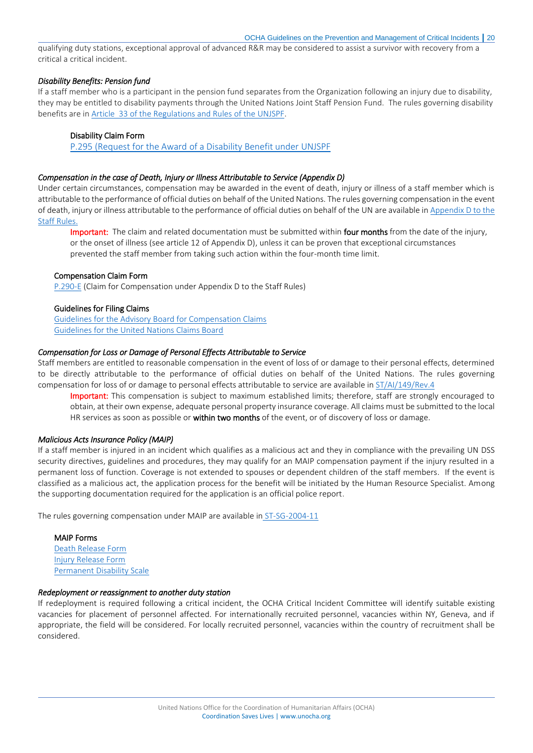qualifying duty stations, exceptional approval of advanced R&R may be considered to assist a survivor with recovery from a critical a critical incident.

# *Disability Benefits: Pension fund*

If a staff member who is a participant in the pension fund separates from the Organization following an injury due to disability, they may be entitled to disability payments through the United Nations Joint Staff Pension Fund. The rules governing disability benefits are in [Article 33 of the Regulations and Rules of the UNJSPF.](https://www.unjspf.org/questions/article-33-disability-benefit/)

#### Disability Claim Form

[P.295 \(Request for the Award of a Disability Benefit under UNJSPF](https://iseek-newyork.un.org/content/p295-request-award-disability-benefit-under-unjspf)

### *Compensation in the case of Death, Injury or Illness Attributable to Service (Appendix D)*

Under certain circumstances, compensation may be awarded in the event of death, injury or illness of a staff member which is attributable to the performance of official duties on behalf of the United Nations. The rules governing compensation in the event of death, injury or illness attributable to the performance of official duties on behalf of the UN are available in [Appendix D to the](https://iseek-newyork.un.org/system/files/appendix_d.pdf)  [Staff Rules.](https://iseek-newyork.un.org/system/files/appendix_d.pdf)

Important: The claim and related documentation must be submitted within four months from the date of the injury, or the onset of illness (see article 12 of Appendix D), unless it can be proven that exceptional circumstances prevented the staff member from taking such action within the four-month time limit.

#### Compensation Claim Form

[P.290-E](https://iseek-newyork.un.org/system/files/p290-e.pdf) (Claim for Compensation under Appendix D to the Staff Rules)

#### Guidelines for Filing Claims

[Guidelines for the Advisory Board for Compensation Claims](https://iseek-newyork.un.org/system/files/1290-20140205164008600088.pdf) [Guidelines for the United Nations Claims Board](https://iseek-newyork.un.org/system/files/guide_-_uncb_-_june_2014.pdf) 

#### *Compensation for Loss or Damage of Personal Effects Attributable to Service*

Staff members are entitled to reasonable compensation in the event of loss of or damage to their personal effects, determined to be directly attributable to the performance of official duties on behalf of the United Nations. The rules governing compensation for loss of or damage to personal effects attributable to service are available in [ST/AI/149/Rev.4](http://www.un.org/ga/search/view_doc.asp?symbol=ST/AI/149/Rev.4)

Important: This compensation is subject to maximum established limits; therefore, staff are strongly encouraged to obtain, at their own expense, adequate personal property insurance coverage. All claims must be submitted to the local HR services as soon as possible or within two months of the event, or of discovery of loss or damage.

#### *Malicious Acts Insurance Policy (MAIP)*

If a staff member is injured in an incident which qualifies as a malicious act and they in compliance with the prevailing UN DSS security directives, guidelines and procedures, they may qualify for an MAIP compensation payment if the injury resulted in a permanent loss of function. Coverage is not extended to spouses or dependent children of the staff members. If the event is classified as a malicious act, the application process for the benefit will be initiated by the Human Resource Specialist. Among the supporting documentation required for the application is an official police report.

The rules governing compensation under MAIP are available in [ST-SG-2004-11](https://iseek-newyork.un.org/system/files/iseek/LibraryDocuments/1290-201302201125544115429.pdf)

# MAIP Forms [Death Release Form](https://iseek-newyork.un.org/system/files/iseek/LibraryDocuments/1290-201302201127104123059.pdf) [Injury Release Form](https://iseek-newyork.un.org/system/files/iseek/LibraryDocuments/1290-201302201127564127612.pdf) [Permanent Disability Scale](https://iseek-newyork.un.org/system/files/iseek/LibraryDocuments/1290-201302220842513137119.pdf)

#### *Redeployment or reassignment to another duty station*

If redeployment is required following a critical incident, the OCHA Critical Incident Committee will identify suitable existing vacancies for placement of personnel affected. For internationally recruited personnel, vacancies within NY, Geneva, and if appropriate, the field will be considered. For locally recruited personnel, vacancies within the country of recruitment shall be considered.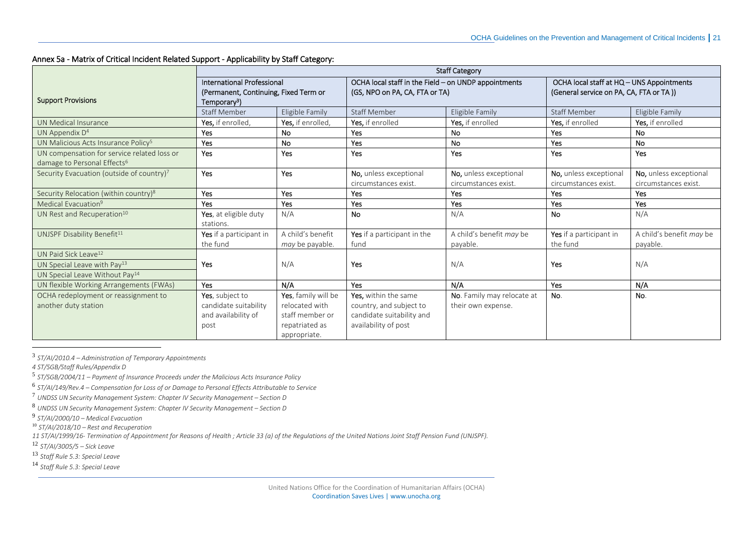# Annex 5a - Matrix of Critical Incident Related Support - Applicability by Staff Category:

|                                                   | <b>Staff Category</b>                 |                     |                                                      |                            |                                           |                          |
|---------------------------------------------------|---------------------------------------|---------------------|------------------------------------------------------|----------------------------|-------------------------------------------|--------------------------|
|                                                   | <b>International Professional</b>     |                     | OCHA local staff in the Field - on UNDP appointments |                            | OCHA local staff at HQ - UNS Appointments |                          |
|                                                   | (Permanent, Continuing, Fixed Term or |                     | (GS, NPO on PA, CA, FTA or TA)                       |                            | (General service on PA, CA, FTA or TA))   |                          |
| <b>Support Provisions</b>                         | Temporary <sup>3</sup> )              |                     |                                                      |                            |                                           |                          |
|                                                   | <b>Staff Member</b>                   | Eligible Family     | <b>Staff Member</b>                                  | Eligible Family            | <b>Staff Member</b>                       | Eligible Family          |
| UN Medical Insurance                              | Yes, if enrolled,                     | Yes. if enrolled.   | Yes, if enrolled                                     | Yes, if enrolled           | Yes, if enrolled                          | Yes, if enrolled         |
| UN Appendix D <sup>4</sup>                        | Yes                                   | <b>No</b>           | <b>Yes</b>                                           | No                         | <b>Yes</b>                                | <b>No</b>                |
| UN Malicious Acts Insurance Policy <sup>5</sup>   | Yes                                   | <b>No</b>           | <b>Yes</b>                                           | <b>No</b>                  | <b>Yes</b>                                | <b>No</b>                |
| UN compensation for service related loss or       | Yes                                   | Yes                 | Yes                                                  | Yes                        | Yes                                       | Yes                      |
| damage to Personal Effects <sup>6</sup>           |                                       |                     |                                                      |                            |                                           |                          |
| Security Evacuation (outside of country)7         | <b>Yes</b>                            | Yes                 | No, unless exceptional                               | No, unless exceptional     | No, unless exceptional                    | No, unless exceptional   |
|                                                   |                                       |                     | circumstances exist.                                 | circumstances exist.       | circumstances exist.                      | circumstances exist.     |
| Security Relocation (within country) <sup>8</sup> | Yes                                   | Yes                 | <b>Yes</b>                                           | Yes                        | Yes                                       | <b>Yes</b>               |
| Medical Evacuation <sup>9</sup>                   | <b>Yes</b>                            | Yes                 | <b>Yes</b>                                           | Yes                        | Yes                                       | Yes                      |
| UN Rest and Recuperation <sup>10</sup>            | Yes, at eligible duty                 | N/A                 | <b>No</b>                                            | N/A                        | <b>No</b>                                 | N/A                      |
|                                                   | stations.                             |                     |                                                      |                            |                                           |                          |
| UNJSPF Disability Benefit <sup>11</sup>           | Yes if a participant in               | A child's benefit   | Yes if a participant in the                          | A child's benefit may be   | Yes if a participant in                   | A child's benefit may be |
|                                                   | the fund                              | may be payable.     | fund                                                 | payable.                   | the fund                                  | payable.                 |
| UN Paid Sick Leave <sup>12</sup>                  |                                       |                     |                                                      |                            |                                           |                          |
| UN Special Leave with Pay <sup>13</sup>           | <b>Yes</b>                            | N/A                 | Yes                                                  | N/A                        | Yes                                       | N/A                      |
| UN Special Leave Without Pay <sup>14</sup>        |                                       |                     |                                                      |                            |                                           |                          |
| UN flexible Working Arrangements (FWAs)           | Yes                                   | N/A                 | Yes                                                  | N/A                        | Yes                                       | N/A                      |
| OCHA redeployment or reassignment to              | Yes, subject to                       | Yes, family will be | Yes, within the same                                 | No. Family may relocate at | No.                                       | No.                      |
| another duty station                              | candidate suitability                 | relocated with      | country, and subject to                              | their own expense.         |                                           |                          |
|                                                   | and availability of                   | staff member or     | candidate suitability and                            |                            |                                           |                          |
|                                                   | post                                  | repatriated as      | availability of post                                 |                            |                                           |                          |
|                                                   |                                       | appropriate.        |                                                      |                            |                                           |                          |

3 *ST/AI/2010.4 – Administration of Temporary Appointments*

*4 ST/SGB/Staff Rules/Appendix D*

<span id="page-20-0"></span> $\overline{a}$ 

5 *ST/SGB/2004/11 – Payment of Insurance Proceeds under the Malicious Acts Insurance Policy*

6 *ST/AI/149/Rev.4 – Compensation for Loss of or Damage to Personal Effects Attributable to Service*

<sup>7</sup> *UNDSS UN Security Management System: Chapter IV Security Management – Section D*

8 *UNDSS UN Security Management System: Chapter IV Security Management – Section D* 

9 *ST/AI/2000/10 – Medical Evacuation*

<sup>10</sup> *ST/AI/2018/10 – Rest and Recuperation*

*11 ST/AI/1999/16- Termination of Appointment for Reasons of Health ; Article 33 (a) of the Regulations of the United Nations Joint Staff Pension Fund (UNJSPF).*

<sup>12</sup> *ST/AI/3005/5 – Sick Leave*

<sup>13</sup> *Staff Rule 5.3: Special Leave*

<sup>14</sup> *Staff Rule 5.3: Special Leave*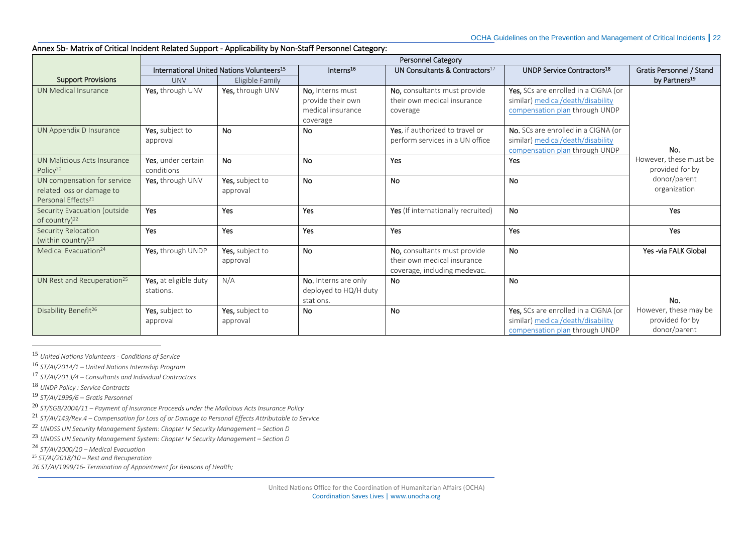# Annex 5b- Matrix of Critical Incident Related Support - Applicability by Non-Staff Personnel Category:

|                                                                                            |                                                       |                             |                                                                        | Personnel Category                                                                          |                                                                                                             |                                                          |
|--------------------------------------------------------------------------------------------|-------------------------------------------------------|-----------------------------|------------------------------------------------------------------------|---------------------------------------------------------------------------------------------|-------------------------------------------------------------------------------------------------------------|----------------------------------------------------------|
|                                                                                            | International United Nations Volunteers <sup>15</sup> |                             | Interns <sup>16</sup>                                                  | UN Consultants & Contractors <sup>17</sup>                                                  | <b>UNDP Service Contractors18</b>                                                                           | Gratis Personnel / Stand                                 |
| <b>Support Provisions</b>                                                                  | <b>UNV</b>                                            | Eligible Family             |                                                                        |                                                                                             |                                                                                                             | by Partners <sup>19</sup>                                |
| UN Medical Insurance                                                                       | Yes, through UNV                                      | Yes, through UNV            | No, Interns must<br>provide their own<br>medical insurance<br>coverage | No, consultants must provide<br>their own medical insurance<br>coverage                     | Yes, SCs are enrolled in a CIGNA (or<br>similar) medical/death/disability<br>compensation plan through UNDP |                                                          |
| UN Appendix D Insurance                                                                    | Yes, subject to<br>approval                           | <b>No</b>                   | <b>No</b>                                                              | Yes, if authorized to travel or<br>perform services in a UN office                          | No. SCs are enrolled in a CIGNA (or<br>similar) medical/death/disability<br>compensation plan through UNDP  | No.                                                      |
| UN Malicious Acts Insurance<br>Policy <sup>20</sup>                                        | Yes. under certain<br>conditions                      | <b>No</b>                   | <b>No</b>                                                              | Yes                                                                                         | Yes                                                                                                         | However, these must be<br>provided for by                |
| UN compensation for service<br>related loss or damage to<br>Personal Effects <sup>21</sup> | Yes, through UNV                                      | Yes, subject to<br>approval | <b>No</b>                                                              | <b>No</b>                                                                                   | <b>No</b>                                                                                                   | donor/parent<br>organization                             |
| Security Evacuation (outside<br>of country) <sup>22</sup>                                  | Yes                                                   | Yes                         | Yes                                                                    | Yes (If internationally recruited)                                                          | <b>No</b>                                                                                                   | Yes                                                      |
| Security Relocation<br>(within country) <sup>23</sup>                                      | Yes                                                   | Yes                         | Yes                                                                    | Yes                                                                                         | Yes                                                                                                         | Yes                                                      |
| Medical Evacuation <sup>24</sup>                                                           | Yes, through UNDP                                     | Yes, subject to<br>approval | <b>No</b>                                                              | No, consultants must provide<br>their own medical insurance<br>coverage, including medevac. | <b>No</b>                                                                                                   | Yes -via FALK Global                                     |
| UN Rest and Recuperation <sup>25</sup>                                                     | Yes, at eligible duty<br>stations.                    | N/A                         | No. Interns are only<br>deployed to HQ/H duty<br>stations.             | <b>No</b>                                                                                   | <b>No</b>                                                                                                   | No.                                                      |
| Disability Benefit <sup>26</sup>                                                           | Yes, subject to<br>approval                           | Yes, subject to<br>approval | <b>No</b>                                                              | <b>No</b>                                                                                   | Yes, SCs are enrolled in a CIGNA (or<br>similar) medical/death/disability<br>compensation plan through UNDP | However, these may be<br>provided for by<br>donor/parent |

<sup>15</sup> *United Nations Volunteers - Conditions of Service*

<sup>16</sup> *ST/AI/2014/1 – United Nations Internship Program*

<sup>17</sup> *ST/AI/2013/4 – Consultants and Individual Contractors*

<sup>18</sup> *UNDP Policy : Service Contracts*

<span id="page-21-0"></span> $\overline{a}$ 

<sup>19</sup> *ST/AI/1999/6 – Gratis Personnel*

<sup>21</sup> *ST/AI/149/Rev.4 – Compensation for Loss of or Damage to Personal Effects Attributable to Service*

<sup>22</sup> UNDSS UN Security Management System: Chapter IV Security Management – Section D

<sup>23</sup> *UNDSS UN Security Management System: Chapter IV Security Management – Section D* 

<sup>24</sup> *ST/AI/2000/10 – Medical Evacuation*

<sup>25</sup> *ST/AI/2018/10 – Rest and Recuperation*

*26 ST/AI/1999/16- Termination of Appointment for Reasons of Health;*

<sup>20</sup> *ST/SGB/2004/11 – Payment of Insurance Proceeds under the Malicious Acts Insurance Policy*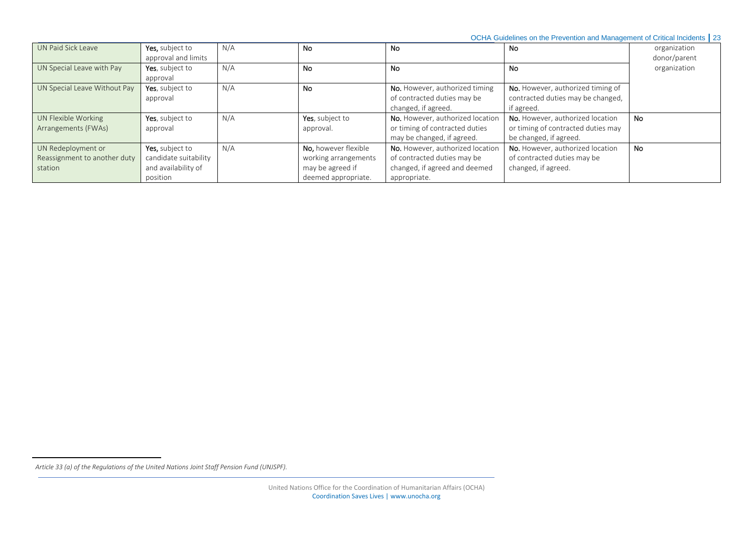OCHA Guidelines on the Prevention and Management of Critical Incidents **|** 23

| UN Paid Sick Leave                                            | Yes, subject to<br>approval and limits                          | N/A | No                                                                      | <b>No</b>                                                                                        | No                                                                                               | organization<br>donor/parent |
|---------------------------------------------------------------|-----------------------------------------------------------------|-----|-------------------------------------------------------------------------|--------------------------------------------------------------------------------------------------|--------------------------------------------------------------------------------------------------|------------------------------|
| UN Special Leave with Pay                                     | Yes, subject to<br>approval                                     | N/A | <b>No</b>                                                               | <b>No</b>                                                                                        | No                                                                                               | organization                 |
| UN Special Leave Without Pay                                  | Yes, subject to<br>approval                                     | N/A | No                                                                      | No. However, authorized timing<br>of contracted duties may be<br>changed, if agreed.             | No. However, authorized timing of<br>contracted duties may be changed,<br>if agreed.             |                              |
| UN Flexible Working<br>Arrangements (FWAs)                    | Yes, subject to<br>approval                                     | N/A | Yes, subject to<br>approval.                                            | No. However, authorized location<br>or timing of contracted duties<br>may be changed, if agreed. | No. However, authorized location<br>or timing of contracted duties may<br>be changed, if agreed. | <b>No</b>                    |
| UN Redeployment or<br>Reassignment to another duty<br>station | Yes, subject to<br>candidate suitability<br>and availability of | N/A | <b>No.</b> however flexible<br>working arrangements<br>may be agreed if | No. However, authorized location<br>of contracted duties may be<br>changed, if agreed and deemed | No. However, authorized location<br>of contracted duties may be<br>changed, if agreed.           | <b>No</b>                    |

 $\overline{\phantom{a}}$ 

*Article 33 (a) of the Regulations of the United Nations Joint Staff Pension Fund (UNJSPF).*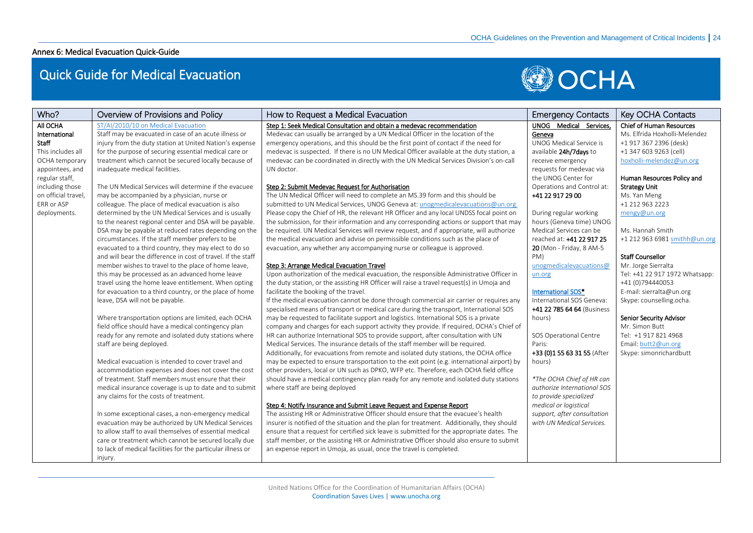# Annex 6: Medical Evacuation Quick-Guide

# Quick Guide for Medical Evacuation



<span id="page-23-0"></span>

| Who?                | Overview of Provisions and Policy                            | How to Request a Medical Evacuation                                                        | <b>Emergency Contacts</b>   | Key OCHA Contacts               |
|---------------------|--------------------------------------------------------------|--------------------------------------------------------------------------------------------|-----------------------------|---------------------------------|
| All OCHA            | ST/AI/2010/10 on Medical Evacuation                          | Step 1: Seek Medical Consultation and obtain a medevac recommendation                      | UNOG Medical Services.      | <b>Chief of Human Resources</b> |
| International       | Staff may be evacuated in case of an acute illness or        | Medevac can usually be arranged by a UN Medical Officer in the location of the             | Geneva                      | Ms. Elfrida Hoxholli-Melendez   |
| Staff               | injury from the duty station at United Nation's expense      | emergency operations, and this should be the first point of contact if the need for        | UNOG Medical Service is     | +1 917 367 2396 (desk)          |
| This includes all   | for the purpose of securing essential medical care or        | medevac is suspected. If there is no UN Medical Officer available at the duty station, a   | available 24h/7days to      | +1 347 603 9263 (cell)          |
| OCHA temporary      | treatment which cannot be secured locally because of         | medevac can be coordinated in directly with the UN Medical Services Division's on-call     | receive emergency           | hoxholli-melendez@un.org        |
| appointees, and     | inadequate medical facilities.                               | UN doctor.                                                                                 | requests for medevac via    |                                 |
| regular staff,      |                                                              |                                                                                            | the UNOG Center for         | Human Resources Policy and      |
| including those     | The UN Medical Services will determine if the evacuee        | Step 2: Submit Medevac Request for Authorisation                                           | Operations and Control at:  | <b>Strategy Unit</b>            |
| on official travel, | may be accompanied by a physician, nurse or                  | The UN Medical Officer will need to complete an MS.39 form and this should be              | +41 22 917 29 00            | Ms. Yan Meng                    |
| FRR or ASP          | colleague. The place of medical evacuation is also           | submitted to UN Medical Services, UNOG Geneva at: unogmedicalevacuations@un.org.           |                             | +1 212 963 2223                 |
| deployments.        | determined by the UN Medical Services and is usually         | Please copy the Chief of HR, the relevant HR Officer and any local UNDSS focal point on    | During regular working      | mengy@un.org                    |
|                     | to the nearest regional center and DSA will be payable.      | the submission, for their information and any corresponding actions or support that may    | hours (Geneva time) UNOG    |                                 |
|                     | DSA may be payable at reduced rates depending on the         | be required. UN Medical Services will review request, and if appropriate, will authorize   | Medical Services can be     | Ms. Hannah Smith                |
|                     | circumstances. If the staff member prefers to be             | the medical evacuation and advise on permissible conditions such as the place of           | reached at: +41 22 917 25   | +1 212 963 6981 smithh@un.org   |
|                     | evacuated to a third country, they may elect to do so        | evacuation, any whether any accompanying nurse or colleague is approved.                   | 20 (Mon - Friday, 8 AM-5    |                                 |
|                     | and will bear the difference in cost of travel. If the staff |                                                                                            | PM)                         | <b>Staff Counsellor</b>         |
|                     | member wishes to travel to the place of home leave,          | Step 3: Arrange Medical Evacuation Travel                                                  | unogmedicalevacuations@     | Mr. Jorge Sierralta             |
|                     | this may be processed as an advanced home leave              | Upon authorization of the medical evacuation, the responsible Administrative Officer in    | un.org                      | Tel: +41 22 917 1972 Whatsapp:  |
|                     | travel using the home leave entitlement. When opting         | the duty station, or the assisting HR Officer will raise a travel request(s) in Umoja and  |                             | +41 (0)794440053                |
|                     | for evacuation to a third country, or the place of home      | facilitate the booking of the travel.                                                      | International SOS*          | E-mail: sierralta@un.org        |
|                     | leave, DSA will not be payable.                              | If the medical evacuation cannot be done through commercial air carrier or requires any    | International SOS Geneva:   | Skype: counselling.ocha.        |
|                     |                                                              | specialised means of transport or medical care during the transport, International SOS     | +41 22 785 64 64 (Business  |                                 |
|                     | Where transportation options are limited, each OCHA          | may be requested to facilitate support and logistics. International SOS is a private       | hours)                      | Senior Security Advisor         |
|                     | field office should have a medical contingency plan          | company and charges for each support activity they provide. If required, OCHA's Chief of   |                             | Mr. Simon Butt                  |
|                     | ready for any remote and isolated duty stations where        | HR can authorize International SOS to provide support, after consultation with UN          | SOS Operational Centre      | Tel: +1 917 821 4968            |
|                     | staff are being deployed.                                    | Medical Services. The insurance details of the staff member will be required.              | Paris:                      | Email: butt2@un.org             |
|                     |                                                              | Additionally, for evacuations from remote and isolated duty stations, the OCHA office      | +33 (0)1 55 63 31 55 (After | Skype: simonrichardbutt         |
|                     | Medical evacuation is intended to cover travel and           | may be expected to ensure transportation to the exit point (e.g. international airport) by | hours)                      |                                 |
|                     | accommodation expenses and does not cover the cost           | other providers, local or UN such as DPKO, WFP etc. Therefore, each OCHA field office      |                             |                                 |
|                     | of treatment. Staff members must ensure that their           | should have a medical contingency plan ready for any remote and isolated duty stations     | *The OCHA Chief of HR can   |                                 |
|                     | medical insurance coverage is up to date and to submit       | where staff are being deployed                                                             | authorize International SOS |                                 |
|                     | any claims for the costs of treatment.                       |                                                                                            | to provide specialized      |                                 |
|                     |                                                              | Step 4: Notify Insurance and Submit Leave Request and Expense Report                       | medical or logistical       |                                 |
|                     | In some exceptional cases, a non-emergency medical           | The assisting HR or Administrative Officer should ensure that the evacuee's health         | support, after consultation |                                 |
|                     | evacuation may be authorized by UN Medical Services          | insurer is notified of the situation and the plan for treatment. Additionally, they should | with UN Medical Services.   |                                 |
|                     | to allow staff to avail themselves of essential medical      | ensure that a request for certified sick leave is submitted for the appropriate dates. The |                             |                                 |
|                     | care or treatment which cannot be secured locally due        | staff member, or the assisting HR or Administrative Officer should also ensure to submit   |                             |                                 |
|                     | to lack of medical facilities for the particular illness or  | an expense report in Umoja, as usual, once the travel is completed.                        |                             |                                 |
|                     | injury.                                                      |                                                                                            |                             |                                 |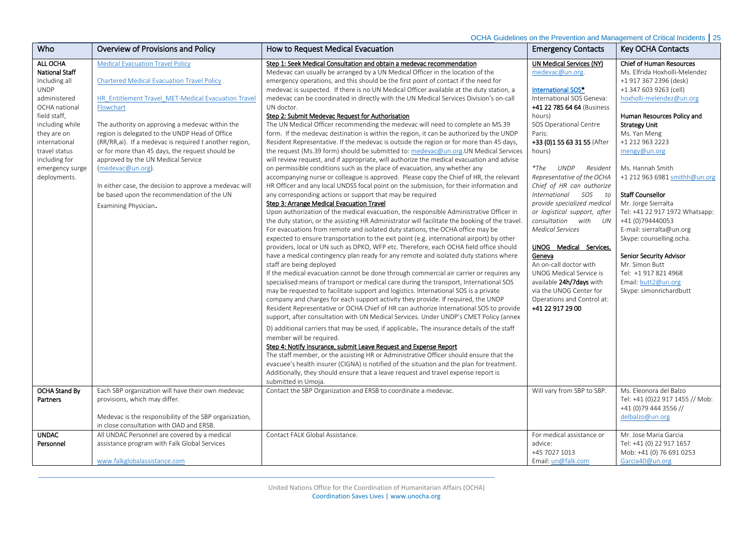OCHA Guidelines on the Prevention and Management of Critical Incidents **|** 25

| Who                                                                                                                                                                                                                                        | Overview of Provisions and Policy                                                                                                                                                                                                                                                                                                                                                                                                                                                                                                                                             | How to Request Medical Evacuation                                                                                                                                                                                                                                                                                                                                                                                                                                                                                                                                                                                                                                                                                                                                                                                                                                                                                                                                                                                                                                                                                                                                                                                                                                                                                                                                                                                                                                                                                                                                                                                                                                                                                                                                                                                                                                                                                                                                                                                                                                                                                                                                                                                                                                                                                                                                                                                                                                                                                                                                                                                                                                                                                                                                                                                                                                                                                                                                                                 | <b>Emergency Contacts</b>                                                                                                                                                                                                                                                                                                                                                                                                                                                                                                                                                                                                                                                     | Key OCHA Contacts                                                                                                                                                                                                                                                                                                                                                                                                                                                                                                                                                                                            |
|--------------------------------------------------------------------------------------------------------------------------------------------------------------------------------------------------------------------------------------------|-------------------------------------------------------------------------------------------------------------------------------------------------------------------------------------------------------------------------------------------------------------------------------------------------------------------------------------------------------------------------------------------------------------------------------------------------------------------------------------------------------------------------------------------------------------------------------|---------------------------------------------------------------------------------------------------------------------------------------------------------------------------------------------------------------------------------------------------------------------------------------------------------------------------------------------------------------------------------------------------------------------------------------------------------------------------------------------------------------------------------------------------------------------------------------------------------------------------------------------------------------------------------------------------------------------------------------------------------------------------------------------------------------------------------------------------------------------------------------------------------------------------------------------------------------------------------------------------------------------------------------------------------------------------------------------------------------------------------------------------------------------------------------------------------------------------------------------------------------------------------------------------------------------------------------------------------------------------------------------------------------------------------------------------------------------------------------------------------------------------------------------------------------------------------------------------------------------------------------------------------------------------------------------------------------------------------------------------------------------------------------------------------------------------------------------------------------------------------------------------------------------------------------------------------------------------------------------------------------------------------------------------------------------------------------------------------------------------------------------------------------------------------------------------------------------------------------------------------------------------------------------------------------------------------------------------------------------------------------------------------------------------------------------------------------------------------------------------------------------------------------------------------------------------------------------------------------------------------------------------------------------------------------------------------------------------------------------------------------------------------------------------------------------------------------------------------------------------------------------------------------------------------------------------------------------------------------------------|-------------------------------------------------------------------------------------------------------------------------------------------------------------------------------------------------------------------------------------------------------------------------------------------------------------------------------------------------------------------------------------------------------------------------------------------------------------------------------------------------------------------------------------------------------------------------------------------------------------------------------------------------------------------------------|--------------------------------------------------------------------------------------------------------------------------------------------------------------------------------------------------------------------------------------------------------------------------------------------------------------------------------------------------------------------------------------------------------------------------------------------------------------------------------------------------------------------------------------------------------------------------------------------------------------|
| ALL OCHA<br><b>National Staff</b><br>Including all<br><b>UNDP</b><br>administered<br>OCHA national<br>field staff,<br>including while<br>they are on<br>international<br>travel status<br>including for<br>emergency surge<br>deployments. | <b>Medical Evacuation Travel Policy</b><br><b>Chartered Medical Evacuation Travel Policy</b><br>HR Entitlement Travel MET-Medical Evacuation Travel<br>Flowchart<br>The authority on approving a medevac within the<br>region is delegated to the UNDP Head of Office<br>(RR/RR,ai). If a medevac is required t another region,<br>or for more than 45 days, the request should be<br>approved by the UN Medical Service<br>(medevac@un.org).<br>In either case, the decision to approve a medevac will<br>be based upon the recommendation of the UN<br>Examining Physician. | Step 1: Seek Medical Consultation and obtain a medevac recommendation<br>Medevac can usually be arranged by a UN Medical Officer in the location of the<br>emergency operations, and this should be the first point of contact if the need for<br>medevac is suspected. If there is no UN Medical Officer available at the duty station, a<br>medevac can be coordinated in directly with the UN Medical Services Division's on-call<br>UN doctor.<br>Step 2: Submit Medevac Request for Authorisation<br>The UN Medical Officer recommending the medevac will need to complete an MS.39<br>form. If the medevac destination is within the region, it can be authorized by the UNDP<br>Resident Representative. If the medevac is outside the region or for more than 45 days,<br>the request (Ms.39 form) should be submitted to: medevac@un.org.UN Medical Services<br>will review request, and if appropriate, will authorize the medical evacuation and advise<br>on permissible conditions such as the place of evacuation, any whether any<br>accompanying nurse or colleague is approved. Please copy the Chief of HR, the relevant<br>HR Officer and any local UNDSS focal point on the submission, for their information and<br>any corresponding actions or support that may be required<br>Step 3: Arrange Medical Evacuation Travel<br>Upon authorization of the medical evacuation, the responsible Administrative Officer in<br>the duty station, or the assisting HR Administrator will facilitate the booking of the travel<br>For evacuations from remote and isolated duty stations, the OCHA office may be<br>expected to ensure transportation to the exit point (e.g. international airport) by other<br>providers, local or UN such as DPKO, WFP etc. Therefore, each OCHA field office should<br>have a medical contingency plan ready for any remote and isolated duty stations where<br>staff are being deployed<br>If the medical evacuation cannot be done through commercial air carrier or requires any<br>specialised means of transport or medical care during the transport, International SOS<br>may be requested to facilitate support and logistics. International SOS is a private<br>company and charges for each support activity they provide. If required, the UNDP<br>Resident Representative or OCHA Chief of HR can authorize International SOS to provide<br>support, after consultation with UN Medical Services. Under UNDP's CMET Policy (annex<br>D) additional carriers that may be used, if applicable. The insurance details of the staff<br>member will be required.<br>Step 4: Notify Insurance, submit Leave Request and Expense Report<br>The staff member, or the assisting HR or Administrative Officer should ensure that the<br>evacuee's health insurer (CIGNA) is notified of the situation and the plan for treatment.<br>Additionally, they should ensure that a leave request and travel expense report is<br>submitted in Umoja. | UN Medical Services (NY)<br>medevac@un.org.<br>International SOS*<br>International SOS Geneva:<br>+41 22 785 64 64 (Business<br>hours)<br>SOS Operational Centre<br>Paris:<br>+33 (0)1 55 63 31 55 (After<br>hours)<br>$*$ The<br><b>UNDP</b><br>Resident<br>Representative of the OCHA<br>Chief of HR can authorize<br>International<br>SOS<br>to<br>provide specialized medical<br>or logistical support, after<br>consultation with UN<br><b>Medical Services</b><br>UNOG Medical Services.<br>Geneva<br>An on-call doctor with<br><b>UNOG Medical Service is</b><br>available 24h/7days with<br>via the UNOG Center for<br>Operations and Control at:<br>+41 22 917 29 00 | <b>Chief of Human Resources</b><br>Ms. Elfrida Hoxholli-Melendez<br>+1 917 367 2396 (desk)<br>+1 347 603 9263 (cell)<br>hoxholli-melendez@un.org<br>Human Resources Policy and<br><b>Strategy Unit</b><br>Ms. Yan Meng<br>+1 212 963 2223<br>mengy@un.org<br>Ms. Hannah Smith<br>+1 212 963 6981 smithh@un.org<br><b>Staff Counsellor</b><br>Mr. Jorge Sierralta<br>Tel: +41 22 917 1972 Whatsapp:<br>+41 (0)794440053<br>E-mail: sierralta@un.org<br>Skype: counselling.ocha.<br><b>Senior Security Advisor</b><br>Mr. Simon Butt<br>Tel: +1 917 821 4968<br>Email: butt2@un.org<br>Skype: simonrichardbutt |
| <b>OCHA Stand By</b><br>Partners                                                                                                                                                                                                           | Each SBP organization will have their own medevac<br>provisions, which may differ.<br>Medevac is the responsibility of the SBP organization,<br>in close consultation with OAD and ERSB.                                                                                                                                                                                                                                                                                                                                                                                      | Contact the SBP Organization and ERSB to coordinate a medevac.                                                                                                                                                                                                                                                                                                                                                                                                                                                                                                                                                                                                                                                                                                                                                                                                                                                                                                                                                                                                                                                                                                                                                                                                                                                                                                                                                                                                                                                                                                                                                                                                                                                                                                                                                                                                                                                                                                                                                                                                                                                                                                                                                                                                                                                                                                                                                                                                                                                                                                                                                                                                                                                                                                                                                                                                                                                                                                                                    | Will vary from SBP to SBP.                                                                                                                                                                                                                                                                                                                                                                                                                                                                                                                                                                                                                                                    | Ms. Eleonora del Balzo<br>Tel: +41 (0)22 917 1455 // Mob:<br>+41 (0)79 444 3556 //<br>delbalzo@un.org                                                                                                                                                                                                                                                                                                                                                                                                                                                                                                        |
| UNDAC<br>Personnel                                                                                                                                                                                                                         | All UNDAC Personnel are covered by a medical<br>assistance program with Falk Global Services<br>www.falkglobalassistance.com                                                                                                                                                                                                                                                                                                                                                                                                                                                  | Contact FALK Global Assistance.                                                                                                                                                                                                                                                                                                                                                                                                                                                                                                                                                                                                                                                                                                                                                                                                                                                                                                                                                                                                                                                                                                                                                                                                                                                                                                                                                                                                                                                                                                                                                                                                                                                                                                                                                                                                                                                                                                                                                                                                                                                                                                                                                                                                                                                                                                                                                                                                                                                                                                                                                                                                                                                                                                                                                                                                                                                                                                                                                                   | For medical assistance or<br>advice:<br>+45 7027 1013<br>Email: $un@falk.com$                                                                                                                                                                                                                                                                                                                                                                                                                                                                                                                                                                                                 | Mr. Jose Maria Garcia<br>Tel: +41 (0) 22 917 1657<br>Mob: +41 (0) 76 691 0253<br>Garcia40@un.org                                                                                                                                                                                                                                                                                                                                                                                                                                                                                                             |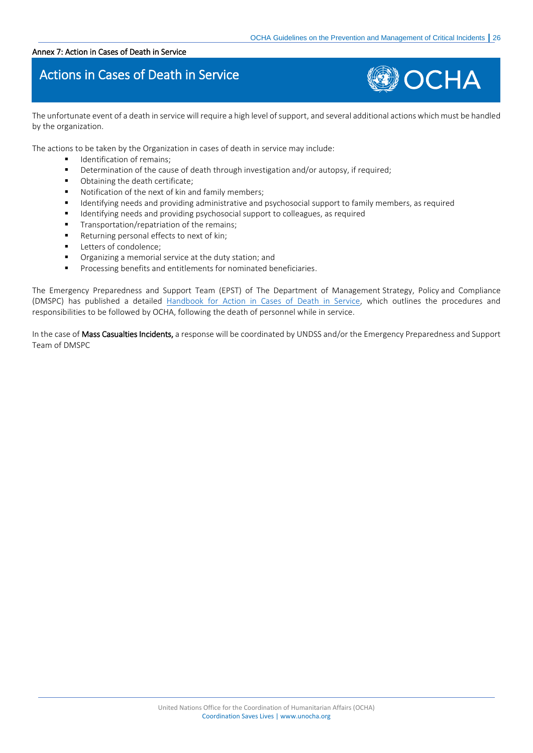#### <span id="page-25-0"></span>Annex 7: Action in Cases of Death in Service

# Actions in Cases of Death in Service



The unfortunate event of a death in service will require a high level of support, and several additional actions which must be handled by the organization.

The actions to be taken by the Organization in cases of death in service may include:

- **■** Identification of remains;
- Determination of the cause of death through investigation and/or autopsy, if required;
- Obtaining the death certificate;
- Notification of the next of kin and family members;
- Identifying needs and providing administrative and psychosocial support to family members, as required
- Identifying needs and providing psychosocial support to colleagues, as required
- Transportation/repatriation of the remains;
- Returning personal effects to next of kin;
- Letters of condolence;
- Organizing a memorial service at the duty station; and
- Processing benefits and entitlements for nominated beneficiaries.

The Emergency Preparedness and Support Team (EPST) of The Department of Management Strategy, Policy and Compliance (DMSPC) has published a detailed [Handbook for Action in Cases of Death in Service,](https://www.un.org/epst/sites/www.un.org.epst/files/handbook_for_action-death_in_service.pdf) which outlines the procedures and responsibilities to be followed by OCHA, following the death of personnel while in service.

In the case of Mass Casualties Incidents, a response will be coordinated by UNDSS and/or the Emergency Preparedness and Support Team of DMSPC